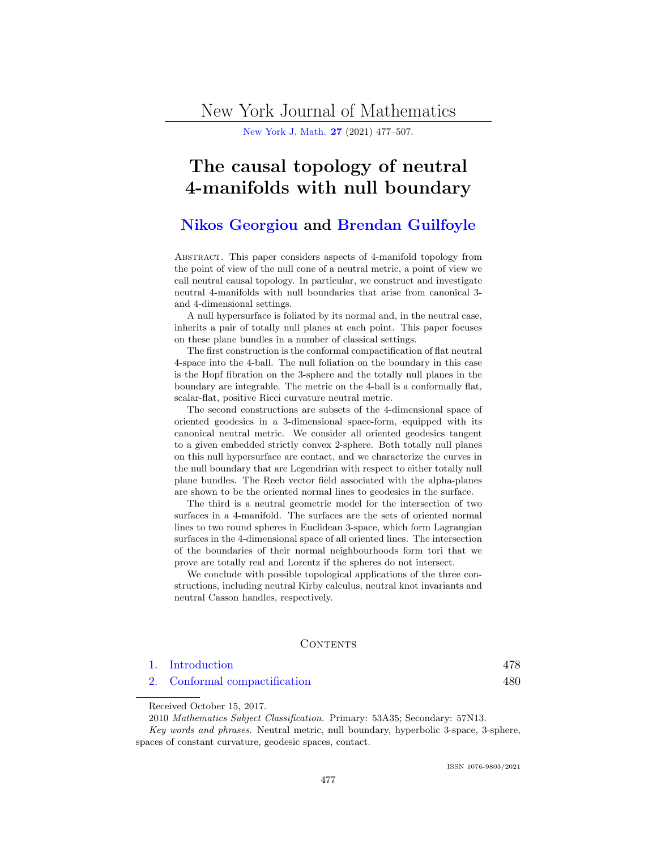New York Journal of Mathematics

[New York J. Math.](http://nyjm.albany.edu/nyjm.html) [27](http://nyjm.albany.edu/j/2021/Vol27.htm) (2021) 477–507.

# The causal topology of neutral 4-manifolds with null boundary

# [Nikos Georgiou](#page-30-0) and [Brendan Guilfoyle](#page-30-0)

Abstract. This paper considers aspects of 4-manifold topology from the point of view of the null cone of a neutral metric, a point of view we call neutral causal topology. In particular, we construct and investigate neutral 4-manifolds with null boundaries that arise from canonical 3 and 4-dimensional settings.

A null hypersurface is foliated by its normal and, in the neutral case, inherits a pair of totally null planes at each point. This paper focuses on these plane bundles in a number of classical settings.

The first construction is the conformal compactification of flat neutral 4-space into the 4-ball. The null foliation on the boundary in this case is the Hopf fibration on the 3-sphere and the totally null planes in the boundary are integrable. The metric on the 4-ball is a conformally flat, scalar-flat, positive Ricci curvature neutral metric.

The second constructions are subsets of the 4-dimensional space of oriented geodesics in a 3-dimensional space-form, equipped with its canonical neutral metric. We consider all oriented geodesics tangent to a given embedded strictly convex 2-sphere. Both totally null planes on this null hypersurface are contact, and we characterize the curves in the null boundary that are Legendrian with respect to either totally null plane bundles. The Reeb vector field associated with the alpha-planes are shown to be the oriented normal lines to geodesics in the surface.

The third is a neutral geometric model for the intersection of two surfaces in a 4-manifold. The surfaces are the sets of oriented normal lines to two round spheres in Euclidean 3-space, which form Lagrangian surfaces in the 4-dimensional space of all oriented lines. The intersection of the boundaries of their normal neighbourhoods form tori that we prove are totally real and Lorentz if the spheres do not intersect.

We conclude with possible topological applications of the three constructions, including neutral Kirby calculus, neutral knot invariants and neutral Casson handles, respectively.

#### **CONTENTS**

| 1. Introduction               | 478 |
|-------------------------------|-----|
| 2. Conformal compactification | 480 |

Received October 15, 2017.

Key words and phrases. Neutral metric, null boundary, hyperbolic 3-space, 3-sphere, spaces of constant curvature, geodesic spaces, contact.

<sup>2010</sup> Mathematics Subject Classification. Primary: 53A35; Secondary: 57N13.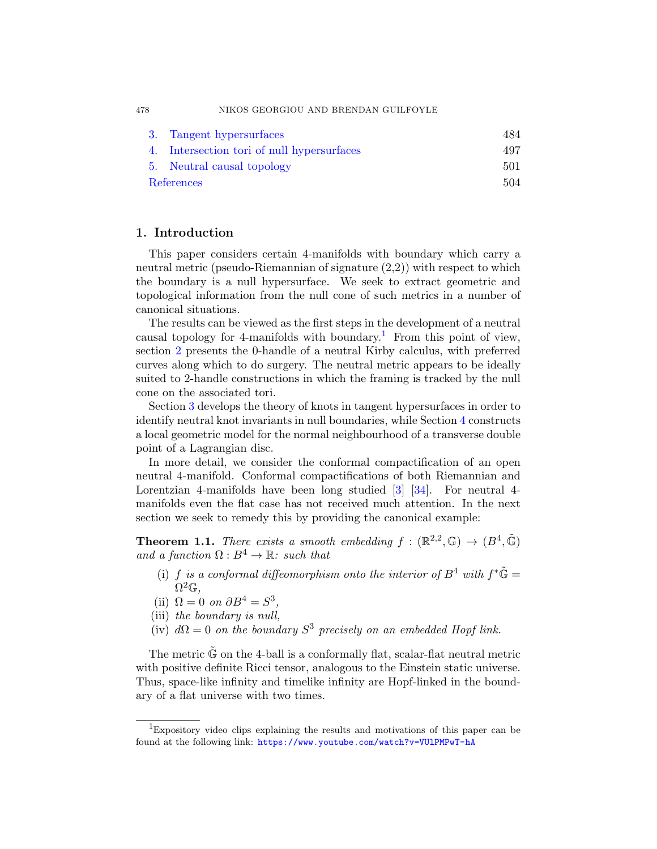478 NIKOS GEORGIOU AND BRENDAN GUILFOYLE

|            | 3. Tangent hypersurfaces                   | 484 |
|------------|--------------------------------------------|-----|
|            | 4. Intersection tori of null hypersurfaces | 497 |
|            | 5. Neutral causal topology                 | 501 |
| References |                                            | 504 |

# 1. Introduction

This paper considers certain 4-manifolds with boundary which carry a neutral metric (pseudo-Riemannian of signature (2,2)) with respect to which the boundary is a null hypersurface. We seek to extract geometric and topological information from the null cone of such metrics in a number of canonical situations.

The results can be viewed as the first steps in the development of a neutral causal topology for 4-manifolds with boundary.<sup>1</sup> From this point of view, section [2](#page-3-0) presents the 0-handle of a neutral Kirby calculus, with preferred curves along which to do surgery. The neutral metric appears to be ideally suited to 2-handle constructions in which the framing is tracked by the null cone on the associated tori.

Section [3](#page-7-0) develops the theory of knots in tangent hypersurfaces in order to identify neutral knot invariants in null boundaries, while Section [4](#page-20-0) constructs a local geometric model for the normal neighbourhood of a transverse double point of a Lagrangian disc.

In more detail, we consider the conformal compactification of an open neutral 4-manifold. Conformal compactifications of both Riemannian and Lorentzian 4-manifolds have been long studied [\[3\]](#page-27-0) [\[34\]](#page-29-0). For neutral 4manifolds even the flat case has not received much attention. In the next section we seek to remedy this by providing the canonical example:

**Theorem 1.1.** There exists a smooth embedding  $f : (\mathbb{R}^{2,2}, \mathbb{G}) \to (B^4, \tilde{\mathbb{G}})$ and a function  $\Omega : B^4 \to \mathbb{R}$ : such that

- (i) f is a conformal diffeomorphism onto the interior of  $B^4$  with  $f^*\tilde{\mathbb{G}} =$  $\overline{\Omega^2 \mathbb{G}}$ ,
- (ii)  $\Omega = 0$  on  $\partial B^4 = S^3$ ,
- (iii) the boundary is null,
- (iv)  $d\Omega = 0$  on the boundary  $S^3$  precisely on an embedded Hopf link.

The metric  $\mathbb{\tilde{G}}$  on the 4-ball is a conformally flat, scalar-flat neutral metric with positive definite Ricci tensor, analogous to the Einstein static universe. Thus, space-like infinity and timelike infinity are Hopf-linked in the boundary of a flat universe with two times.

<span id="page-1-0"></span>

<sup>&</sup>lt;sup>1</sup>Expository video clips explaining the results and motivations of this paper can be found at the following link: <https://www.youtube.com/watch?v=VUlPMPwT-hA>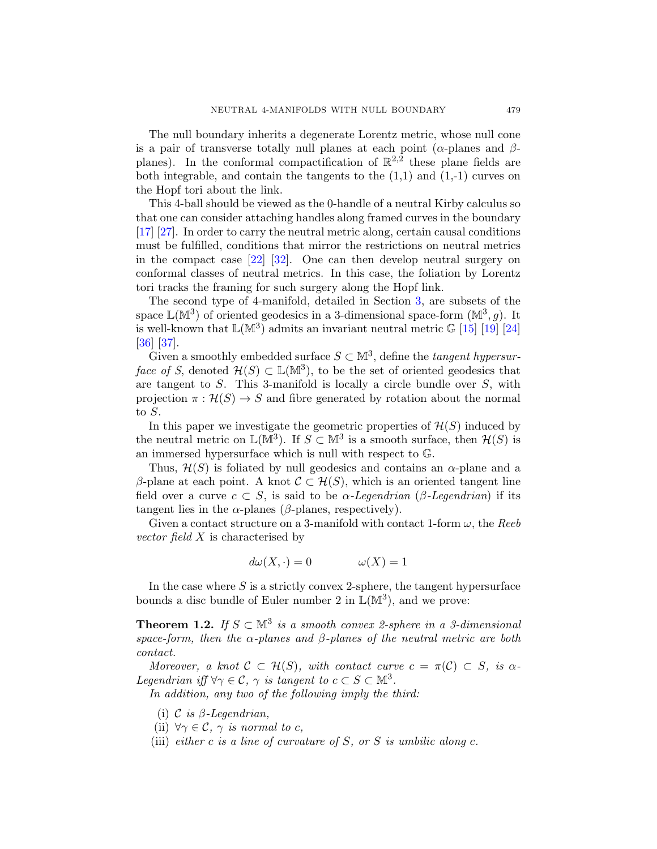<span id="page-2-0"></span>The null boundary inherits a degenerate Lorentz metric, whose null cone is a pair of transverse totally null planes at each point ( $\alpha$ -planes and  $\beta$ planes). In the conformal compactification of  $\mathbb{R}^{2,2}$  these plane fields are both integrable, and contain the tangents to the  $(1,1)$  and  $(1,-1)$  curves on the Hopf tori about the link.

This 4-ball should be viewed as the 0-handle of a neutral Kirby calculus so that one can consider attaching handles along framed curves in the boundary [\[17\]](#page-28-0) [\[27\]](#page-29-0). In order to carry the neutral metric along, certain causal conditions must be fulfilled, conditions that mirror the restrictions on neutral metrics in the compact case [\[22\]](#page-29-0) [\[32\]](#page-29-0). One can then develop neutral surgery on conformal classes of neutral metrics. In this case, the foliation by Lorentz tori tracks the framing for such surgery along the Hopf link.

The second type of 4-manifold, detailed in Section [3,](#page-7-0) are subsets of the space  $\mathbb{L}(\mathbb{M}^3)$  of oriented geodesics in a 3-dimensional space-form  $(\mathbb{M}^3, g)$ . It is well-known that  $\mathbb{L}(\mathbb{M}^3)$  admits an invariant neutral metric G [\[15\]](#page-28-0) [\[19\]](#page-28-0) [\[24\]](#page-29-0) [\[36\]](#page-29-0) [\[37\]](#page-29-0).

Given a smoothly embedded surface  $S \subset \mathbb{M}^3$ , define the *tangent hypersur*face of S, denoted  $\mathcal{H}(S) \subset \mathbb{L}(\mathbb{M}^3)$ , to be the set of oriented geodesics that are tangent to  $S$ . This 3-manifold is locally a circle bundle over  $S$ , with projection  $\pi : \mathcal{H}(S) \to S$  and fibre generated by rotation about the normal to S.

In this paper we investigate the geometric properties of  $\mathcal{H}(S)$  induced by the neutral metric on  $\mathbb{L}(\mathbb{M}^3)$ . If  $S \subset \mathbb{M}^3$  is a smooth surface, then  $\mathcal{H}(S)$  is an immersed hypersurface which is null with respect to G.

Thus,  $\mathcal{H}(S)$  is foliated by null geodesics and contains an  $\alpha$ -plane and a β-plane at each point. A knot  $\mathcal{C} \subset \mathcal{H}(S)$ , which is an oriented tangent line field over a curve  $c \subset S$ , is said to be  $\alpha$ -Legendrian ( $\beta$ -Legendrian) if its tangent lies in the  $\alpha$ -planes ( $\beta$ -planes, respectively).

Given a contact structure on a 3-manifold with contact 1-form  $\omega$ , the Reeb vector field X is characterised by

$$
d\omega(X, \cdot) = 0 \qquad \omega(X) = 1
$$

In the case where  $S$  is a strictly convex 2-sphere, the tangent hypersurface bounds a disc bundle of Euler number 2 in  $\mathbb{L}(\mathbb{M}^3)$ , and we prove:

**Theorem 1.2.** If  $S \subset \mathbb{M}^3$  is a smooth convex 2-sphere in a 3-dimensional space-form, then the  $\alpha$ -planes and  $\beta$ -planes of the neutral metric are both contact.

Moreover, a knot  $\mathcal{C} \subset \mathcal{H}(S)$ , with contact curve  $c = \pi(\mathcal{C}) \subset S$ , is  $\alpha$ -Legendrian iff  $\forall \gamma \in \mathcal{C}, \gamma$  is tangent to  $c \subset S \subset \mathbb{M}^3$ .

In addition, any two of the following imply the third:

- (i)  $\mathcal C$  is  $\beta$ -Legendrian,
- (ii)  $\forall \gamma \in C$ ,  $\gamma$  is normal to c,
- (iii) either c is a line of curvature of S, or S is umbilic along c.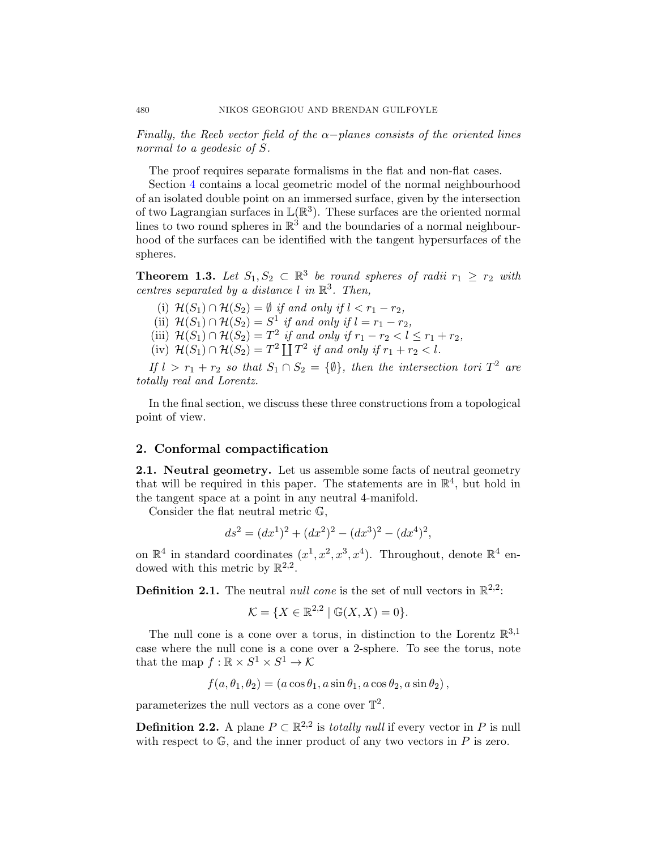<span id="page-3-0"></span>Finally, the Reeb vector field of the  $\alpha$ -planes consists of the oriented lines normal to a geodesic of S.

The proof requires separate formalisms in the flat and non-flat cases.

Section [4](#page-20-0) contains a local geometric model of the normal neighbourhood of an isolated double point on an immersed surface, given by the intersection of two Lagrangian surfaces in  $\mathbb{L}(\mathbb{R}^3)$ . These surfaces are the oriented normal lines to two round spheres in  $\mathbb{R}^3$  and the boundaries of a normal neighbourhood of the surfaces can be identified with the tangent hypersurfaces of the spheres.

**Theorem 1.3.** Let  $S_1, S_2 \subset \mathbb{R}^3$  be round spheres of radii  $r_1 \geq r_2$  with centres separated by a distance  $l$  in  $\mathbb{R}^3$ . Then,

(i)  $\mathcal{H}(S_1) \cap \mathcal{H}(S_2) = \emptyset$  if and only if  $l < r_1 - r_2$ , (ii)  $\mathcal{H}(S_1) \cap \mathcal{H}(S_2) = S^1$  if and only if  $l = r_1 - r_2$ , (iii)  $\mathcal{H}(S_1) \cap \mathcal{H}(S_2) = T^2$  if and only if  $r_1 - r_2 < l \leq r_1 + r_2$ , (iv)  $\mathcal{H}(S_1) \cap \mathcal{H}(S_2) = T^2 \coprod T^2$  if and only if  $r_1 + r_2 < l$ .

If  $l > r_1 + r_2$  so that  $S_1 \cap S_2 = \{\emptyset\}$ , then the intersection tori  $T^2$  are totally real and Lorentz.

In the final section, we discuss these three constructions from a topological point of view.

# 2. Conformal compactification

2.1. Neutral geometry. Let us assemble some facts of neutral geometry that will be required in this paper. The statements are in  $\mathbb{R}^4$ , but hold in the tangent space at a point in any neutral 4-manifold.

Consider the flat neutral metric G,

$$
ds^{2} = (dx^{1})^{2} + (dx^{2})^{2} - (dx^{3})^{2} - (dx^{4})^{2},
$$

on  $\mathbb{R}^4$  in standard coordinates  $(x^1, x^2, x^3, x^4)$ . Throughout, denote  $\mathbb{R}^4$  endowed with this metric by  $\mathbb{R}^{2,2}$ .

**Definition 2.1.** The neutral *null cone* is the set of null vectors in  $\mathbb{R}^{2,2}$ :

$$
\mathcal{K} = \{ X \in \mathbb{R}^{2,2} \mid \mathbb{G}(X,X) = 0 \}.
$$

The null cone is a cone over a torus, in distinction to the Lorentz  $\mathbb{R}^{3,1}$ case where the null cone is a cone over a 2-sphere. To see the torus, note that the map  $f : \mathbb{R} \times S^1 \times S^1 \to \mathcal{K}$ 

$$
f(a, \theta_1, \theta_2) = (a \cos \theta_1, a \sin \theta_1, a \cos \theta_2, a \sin \theta_2),
$$

parameterizes the null vectors as a cone over  $\mathbb{T}^2$ .

**Definition 2.2.** A plane  $P \subset \mathbb{R}^{2,2}$  is *totally null* if every vector in P is null with respect to  $\mathbb{G}$ , and the inner product of any two vectors in P is zero.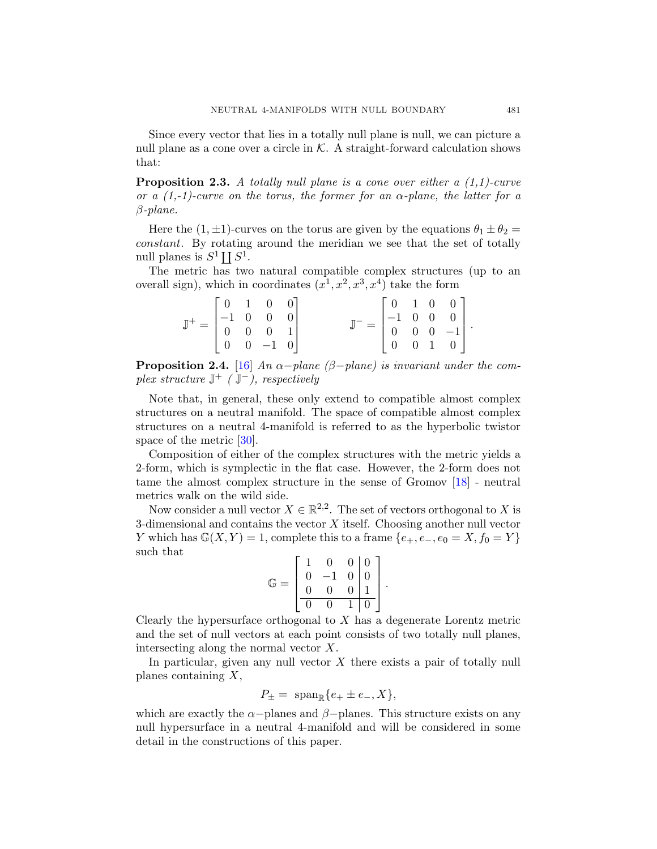<span id="page-4-0"></span>Since every vector that lies in a totally null plane is null, we can picture a null plane as a cone over a circle in  $K$ . A straight-forward calculation shows that:

**Proposition 2.3.** A totally null plane is a cone over either a  $(1,1)$ -curve or a  $(1,-1)$ -curve on the torus, the former for an  $\alpha$ -plane, the latter for a β-plane.

Here the  $(1, \pm 1)$ -curves on the torus are given by the equations  $\theta_1 \pm \theta_2 =$ constant. By rotating around the meridian we see that the set of totally null planes is  $S^1 \coprod S^1$ .

The metric has two natural compatible complex structures (up to an overall sign), which in coordinates  $(x^1, x^2, x^3, x^4)$  take the form

| $\mathbb{J}^+ = \begin{bmatrix} 0 & 1 & 0 & 0 \\ -1 & 0 & 0 & 0 \\ 0 & 0 & 0 & 1 \\ 0 & 0 & -1 & 0 \end{bmatrix}$ |  |                                                                                                                    |  |  |  |
|-------------------------------------------------------------------------------------------------------------------|--|--------------------------------------------------------------------------------------------------------------------|--|--|--|
|                                                                                                                   |  | $\mathbb{J}^- = \begin{bmatrix} 0 & 1 & 0 & 0 \\ -1 & 0 & 0 & 0 \\ 0 & 0 & 0 & -1 \\ 0 & 0 & 1 & 0 \end{bmatrix}.$ |  |  |  |

**Proposition 2.4.** [\[16\]](#page-28-0) An  $\alpha$ -plane ( $\beta$ -plane) is invariant under the complex structure  $\mathbb{J}^+$  ( $\mathbb{J}^-$ ), respectively

Note that, in general, these only extend to compatible almost complex structures on a neutral manifold. The space of compatible almost complex structures on a neutral 4-manifold is referred to as the hyperbolic twistor space of the metric [\[30\]](#page-29-0).

Composition of either of the complex structures with the metric yields a 2-form, which is symplectic in the flat case. However, the 2-form does not tame the almost complex structure in the sense of Gromov [\[18\]](#page-28-0) - neutral metrics walk on the wild side.

Now consider a null vector  $X \in \mathbb{R}^{2,2}$ . The set of vectors orthogonal to X is 3-dimensional and contains the vector  $X$  itself. Choosing another null vector Y which has  $\mathbb{G}(X, Y) = 1$ , complete this to a frame  $\{e_+, e_-, e_0 = X, f_0 = Y\}$ such that

$$
\mathbb{G} = \left[ \begin{array}{rrr} 1 & 0 & 0 & 0 \\ 0 & -1 & 0 & 0 \\ 0 & 0 & 0 & 1 \\ \hline 0 & 0 & 1 & 0 \end{array} \right].
$$

Clearly the hypersurface orthogonal to  $X$  has a degenerate Lorentz metric and the set of null vectors at each point consists of two totally null planes, intersecting along the normal vector X.

In particular, given any null vector  $X$  there exists a pair of totally null planes containing X,

$$
P_{\pm} = \text{ span}_{\mathbb{R}}\{e_+ \pm e_-, X\},\
$$

which are exactly the  $\alpha$ -planes and  $\beta$ -planes. This structure exists on any null hypersurface in a neutral 4-manifold and will be considered in some detail in the constructions of this paper.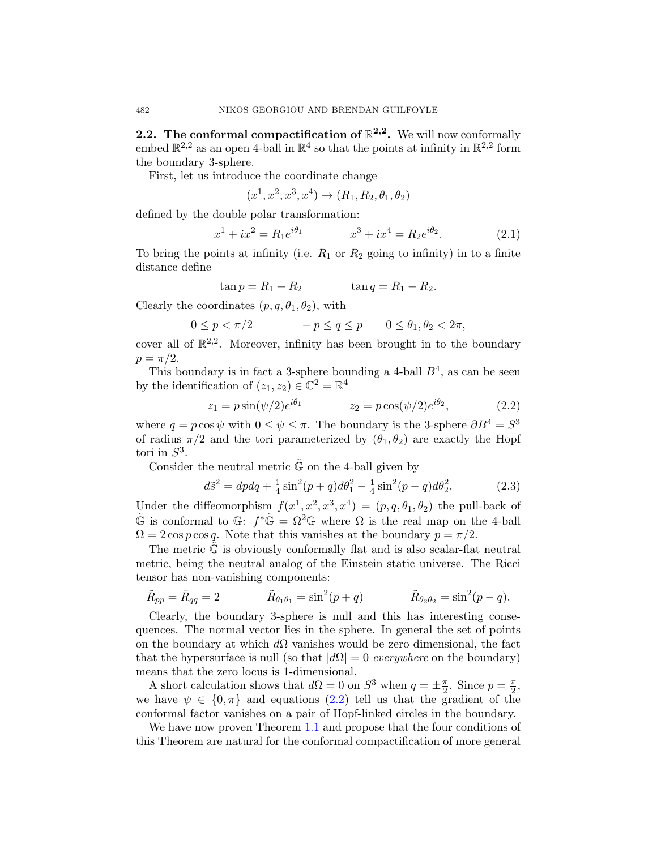<span id="page-5-0"></span>**2.2.** The conformal compactification of  $\mathbb{R}^{2,2}$ . We will now conformally embed  $\mathbb{R}^{2,2}$  as an open 4-ball in  $\mathbb{R}^4$  so that the points at infinity in  $\mathbb{R}^{2,2}$  form the boundary 3-sphere.

First, let us introduce the coordinate change

$$
(x^1, x^2, x^3, x^4) \to (R_1, R_2, \theta_1, \theta_2)
$$

defined by the double polar transformation:

$$
x^{1} + ix^{2} = R_{1}e^{i\theta_{1}} \qquad x^{3} + ix^{4} = R_{2}e^{i\theta_{2}}.
$$
 (2.1)

To bring the points at infinity (i.e.  $R_1$  or  $R_2$  going to infinity) in to a finite distance define

$$
\tan p = R_1 + R_2 \qquad \qquad \tan q = R_1 - R_2.
$$

Clearly the coordinates  $(p, q, \theta_1, \theta_2)$ , with

$$
0 \le p < \pi/2 \qquad -p \le q \le p \qquad 0 \le \theta_1, \theta_2 < 2\pi,
$$

cover all of  $\mathbb{R}^{2,2}$ . Moreover, infinity has been brought in to the boundary  $p = \pi/2$ .

This boundary is in fact a 3-sphere bounding a 4-ball  $B<sup>4</sup>$ , as can be seen by the identification of  $(z_1, z_2) \in \mathbb{C}^2 = \mathbb{R}^4$ 

$$
z_1 = p\sin(\psi/2)e^{i\theta_1} \qquad \qquad z_2 = p\cos(\psi/2)e^{i\theta_2}, \qquad (2.2)
$$

where  $q = p \cos \psi$  with  $0 \le \psi \le \pi$ . The boundary is the 3-sphere  $\partial B^4 = S^3$ of radius  $\pi/2$  and the tori parameterized by  $(\theta_1, \theta_2)$  are exactly the Hopf tori in  $S^3$ .

Consider the neutral metric  $\tilde{\mathbb{G}}$  on the 4-ball given by

$$
d\tilde{s}^2 = dpdq + \frac{1}{4}\sin^2(p+q)d\theta_1^2 - \frac{1}{4}\sin^2(p-q)d\theta_2^2.
$$
 (2.3)

Under the diffeomorphism  $f(x^1, x^2, x^3, x^4) = (p, q, \theta_1, \theta_2)$  the pull-back of  $\tilde{\mathbb{G}}$  is conformal to  $\mathbb{G}$ :  $f^*\tilde{\mathbb{G}} = \Omega^2 \mathbb{G}$  where  $\Omega$  is the real map on the 4-ball  $\Omega = 2 \cos p \cos q$ . Note that this vanishes at the boundary  $p = \pi/2$ .

The metric  $\mathbb{G}$  is obviously conformally flat and is also scalar-flat neutral metric, being the neutral analog of the Einstein static universe. The Ricci tensor has non-vanishing components:

$$
\tilde{R}_{pp} = \bar{R}_{qq} = 2
$$
\n $\tilde{R}_{\theta_1 \theta_1} = \sin^2(p+q)$ \n $\tilde{R}_{\theta_2 \theta_2} = \sin^2(p-q).$ 

Clearly, the boundary 3-sphere is null and this has interesting consequences. The normal vector lies in the sphere. In general the set of points on the boundary at which  $d\Omega$  vanishes would be zero dimensional, the fact that the hypersurface is null (so that  $|d\Omega| = 0$  everywhere on the boundary) means that the zero locus is 1-dimensional.

A short calculation shows that  $d\Omega = 0$  on  $S^3$  when  $q = \pm \frac{\pi}{2}$  $\frac{\pi}{2}$ . Since  $p = \frac{\pi}{2}$  $\frac{\pi}{2}$ we have  $\psi \in \{0, \pi\}$  and equations  $(2.2)$  tell us that the gradient of the conformal factor vanishes on a pair of Hopf-linked circles in the boundary.

We have now proven Theorem [1.1](#page-1-0) and propose that the four conditions of this Theorem are natural for the conformal compactification of more general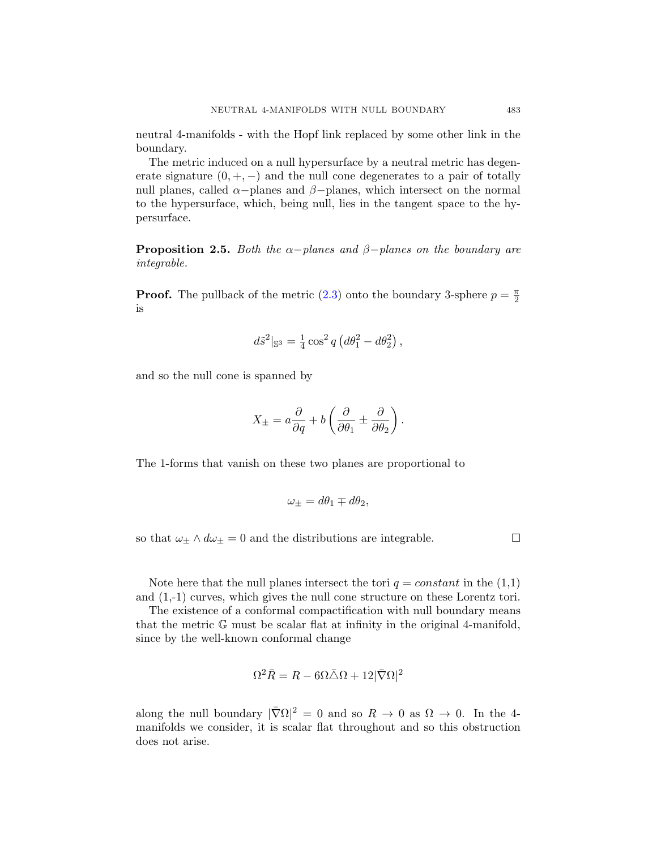neutral 4-manifolds - with the Hopf link replaced by some other link in the boundary.

The metric induced on a null hypersurface by a neutral metric has degenerate signature  $(0, +, -)$  and the null cone degenerates to a pair of totally null planes, called  $\alpha$ -planes and  $\beta$ -planes, which intersect on the normal to the hypersurface, which, being null, lies in the tangent space to the hypersurface.

**Proposition 2.5.** Both the  $\alpha$ -planes and  $\beta$ -planes on the boundary are integrable.

**Proof.** The pullback of the metric [\(2.3\)](#page-5-0) onto the boundary 3-sphere  $p = \frac{\pi}{2}$ 2 is

$$
d\tilde{s}^2|_{\mathbb{S}^3} = \frac{1}{4}\cos^2 q \left(d\theta_1^2 - d\theta_2^2\right),
$$

and so the null cone is spanned by

$$
X_{\pm} = a \frac{\partial}{\partial q} + b \left( \frac{\partial}{\partial \theta_1} \pm \frac{\partial}{\partial \theta_2} \right)
$$

.

The 1-forms that vanish on these two planes are proportional to

$$
\omega_{\pm} = d\theta_1 \mp d\theta_2,
$$

so that  $\omega_{\pm} \wedge d\omega_{\pm} = 0$  and the distributions are integrable.

Note here that the null planes intersect the tori  $q = constant$  in the  $(1,1)$ and (1,-1) curves, which gives the null cone structure on these Lorentz tori.

The existence of a conformal compactification with null boundary means that the metric G must be scalar flat at infinity in the original 4-manifold, since by the well-known conformal change

$$
\Omega^2 \bar{R} = R - 6\Omega \bar{\triangle} \Omega + 12|\bar{\nabla}\Omega|^2
$$

along the null boundary  $|\bar{\nabla}\Omega|^2 = 0$  and so  $R \to 0$  as  $\Omega \to 0$ . In the 4manifolds we consider, it is scalar flat throughout and so this obstruction does not arise.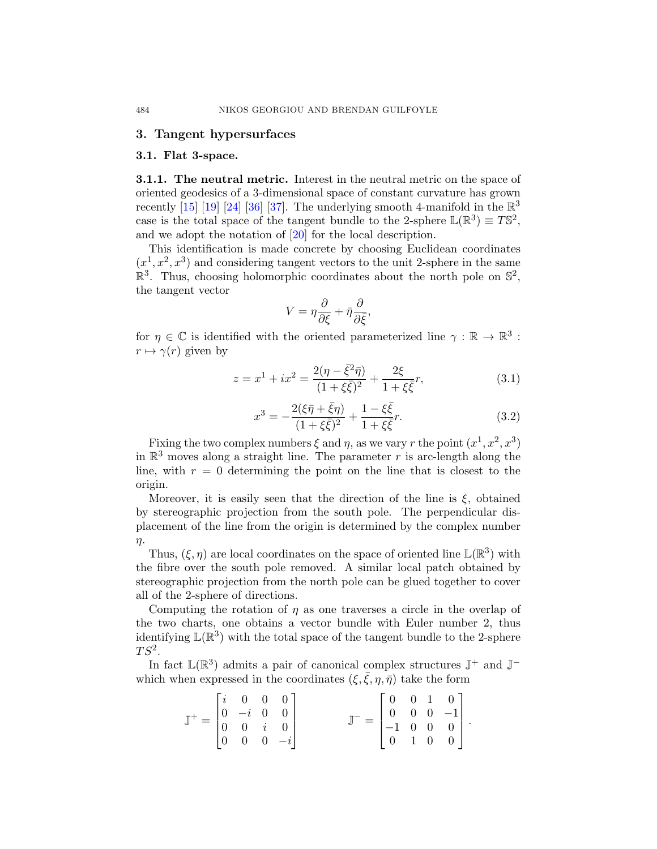#### <span id="page-7-0"></span>3. Tangent hypersurfaces

#### 3.1. Flat 3-space.

**3.1.1.** The neutral metric. Interest in the neutral metric on the space of oriented geodesics of a 3-dimensional space of constant curvature has grown recently [\[15\]](#page-28-0) [\[19\]](#page-28-0) [\[24\]](#page-29-0) [\[36\]](#page-29-0) [\[37\]](#page-29-0). The underlying smooth 4-manifold in the  $\mathbb{R}^3$ case is the total space of the tangent bundle to the 2-sphere  $\mathbb{L}(\mathbb{R}^3) \equiv T\mathbb{S}^2$ , and we adopt the notation of [\[20\]](#page-29-0) for the local description.

This identification is made concrete by choosing Euclidean coordinates  $(x<sup>1</sup>, x<sup>2</sup>, x<sup>3</sup>)$  and considering tangent vectors to the unit 2-sphere in the same  $\mathbb{R}^3$ . Thus, choosing holomorphic coordinates about the north pole on  $\mathbb{S}^2$ , the tangent vector

$$
V = \eta \frac{\partial}{\partial \xi} + \bar{\eta} \frac{\partial}{\partial \bar{\xi}},
$$

for  $\eta \in \mathbb{C}$  is identified with the oriented parameterized line  $\gamma : \mathbb{R} \to \mathbb{R}^3$ :  $r \mapsto \gamma(r)$  given by

$$
z = x^{1} + ix^{2} = \frac{2(\eta - \bar{\xi}^{2}\bar{\eta})}{(1 + \xi\bar{\xi})^{2}} + \frac{2\xi}{1 + \xi\bar{\xi}}r,
$$
\n(3.1)

$$
x^{3} = -\frac{2(\xi\bar{\eta} + \bar{\xi}\eta)}{(1 + \xi\bar{\xi})^{2}} + \frac{1 - \xi\bar{\xi}}{1 + \xi\bar{\xi}}r.
$$
 (3.2)

Fixing the two complex numbers  $\xi$  and  $\eta$ , as we vary r the point  $(x^1, x^2, x^3)$ in  $\mathbb{R}^3$  moves along a straight line. The parameter r is arc-length along the line, with  $r = 0$  determining the point on the line that is closest to the origin.

Moreover, it is easily seen that the direction of the line is  $\xi$ , obtained by stereographic projection from the south pole. The perpendicular displacement of the line from the origin is determined by the complex number η.

Thus,  $(\xi, \eta)$  are local coordinates on the space of oriented line  $\mathbb{L}(\mathbb{R}^3)$  with the fibre over the south pole removed. A similar local patch obtained by stereographic projection from the north pole can be glued together to cover all of the 2-sphere of directions.

Computing the rotation of  $\eta$  as one traverses a circle in the overlap of the two charts, one obtains a vector bundle with Euler number 2, thus identifying  $\mathbb{L}(\mathbb{R}^3)$  with the total space of the tangent bundle to the 2-sphere  $TS^2$ .

In fact  $\mathbb{L}(\mathbb{R}^3)$  admits a pair of canonical complex structures  $\mathbb{J}^+$  and  $\mathbb{J}^$ which when expressed in the coordinates  $(\xi, \bar{\xi}, \eta, \bar{\eta})$  take the form

$$
\mathbb{J}^{+} = \begin{bmatrix} i & 0 & 0 & 0 \\ 0 & -i & 0 & 0 \\ 0 & 0 & i & 0 \\ 0 & 0 & 0 & -i \end{bmatrix} \qquad \qquad \mathbb{J}^{-} = \begin{bmatrix} 0 & 0 & 1 & 0 \\ 0 & 0 & 0 & -1 \\ -1 & 0 & 0 & 0 \\ 0 & 1 & 0 & 0 \end{bmatrix}.
$$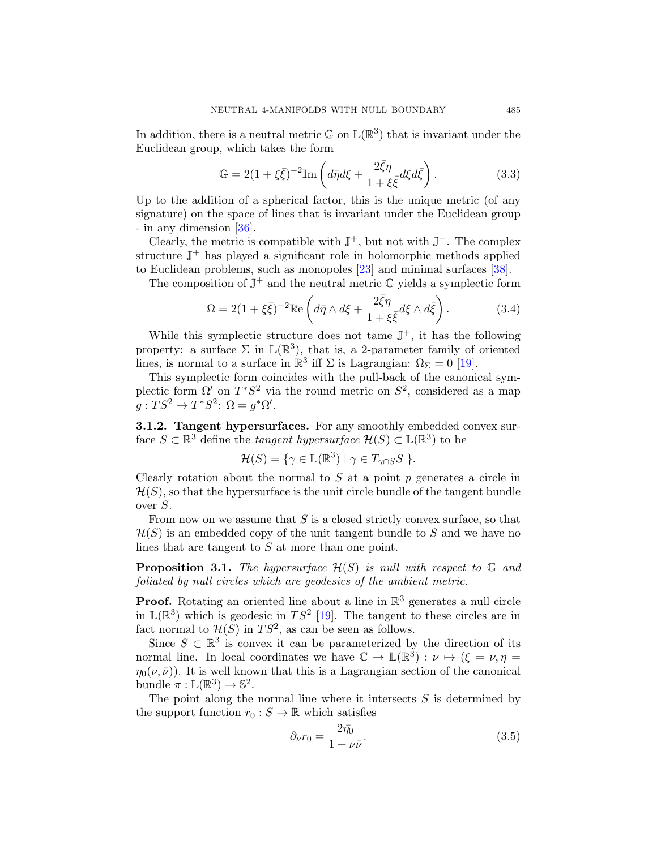<span id="page-8-0"></span>In addition, there is a neutral metric  $\mathbb{G}$  on  $\mathbb{L}(\mathbb{R}^3)$  that is invariant under the Euclidean group, which takes the form

$$
\mathbb{G} = 2(1 + \xi \bar{\xi})^{-2} \mathbb{I} \mathbf{m} \left( d\bar{\eta} d\xi + \frac{2\bar{\xi}\eta}{1 + \xi \bar{\xi}} d\xi d\bar{\xi} \right). \tag{3.3}
$$

Up to the addition of a spherical factor, this is the unique metric (of any signature) on the space of lines that is invariant under the Euclidean group - in any dimension [\[36\]](#page-29-0).

Clearly, the metric is compatible with  $\mathbb{J}^+$ , but not with  $\mathbb{J}^-$ . The complex structure  $\mathbb{J}^+$  has played a significant role in holomorphic methods applied to Euclidean problems, such as monopoles [\[23\]](#page-29-0) and minimal surfaces [\[38\]](#page-30-0).

The composition of  $\mathbb{J}^+$  and the neutral metric  $\mathbb G$  yields a symplectic form

$$
\Omega = 2(1 + \xi \bar{\xi})^{-2} \mathbb{R}e\left(d\bar{\eta} \wedge d\xi + \frac{2\bar{\xi}\eta}{1 + \xi \bar{\xi}} d\xi \wedge d\bar{\xi}\right).
$$
 (3.4)

While this symplectic structure does not tame  $\mathbb{J}^+$ , it has the following property: a surface  $\Sigma$  in  $\mathbb{L}(\mathbb{R}^3)$ , that is, a 2-parameter family of oriented lines, is normal to a surface in  $\mathbb{R}^3$  iff  $\Sigma$  is Lagrangian:  $\Omega_{\Sigma} = 0$  [\[19\]](#page-28-0).

This symplectic form coincides with the pull-back of the canonical symplectic form  $\Omega'$  on  $T^*S^2$  via the round metric on  $S^2$ , considered as a map  $g: TS^2 \to T^*S^2$ :  $\Omega = g^*\Omega'$ .

3.1.2. Tangent hypersurfaces. For any smoothly embedded convex surface  $S \subset \mathbb{R}^3$  define the *tangent hypersurface*  $\mathcal{H}(S) \subset \mathbb{L}(\mathbb{R}^3)$  to be

$$
\mathcal{H}(S) = \{ \gamma \in \mathbb{L}(\mathbb{R}^3) \mid \gamma \in T_{\gamma \cap S} S \}.
$$

Clearly rotation about the normal to  $S$  at a point  $p$  generates a circle in  $\mathcal{H}(S)$ , so that the hypersurface is the unit circle bundle of the tangent bundle over S.

From now on we assume that  $S$  is a closed strictly convex surface, so that  $\mathcal{H}(S)$  is an embedded copy of the unit tangent bundle to S and we have no lines that are tangent to S at more than one point.

**Proposition 3.1.** The hypersurface  $\mathcal{H}(S)$  is null with respect to  $\mathbb{G}$  and foliated by null circles which are geodesics of the ambient metric.

**Proof.** Rotating an oriented line about a line in  $\mathbb{R}^3$  generates a null circle in  $\mathbb{L}(\mathbb{R}^3)$  which is geodesic in  $TS^2$  [\[19\]](#page-28-0). The tangent to these circles are in fact normal to  $\mathcal{H}(S)$  in  $TS^2$ , as can be seen as follows.

Since  $S \subset \mathbb{R}^3$  is convex it can be parameterized by the direction of its normal line. In local coordinates we have  $\mathbb{C} \to \mathbb{L}(\mathbb{R}^3) : \nu \mapsto (\xi = \nu, \eta =$  $\eta_0(\nu,\bar{\nu})$ ). It is well known that this is a Lagrangian section of the canonical bundle  $\pi : \mathbb{L}(\mathbb{R}^3) \to \mathbb{S}^2$ .

The point along the normal line where it intersects  $S$  is determined by the support function  $r_0 : S \to \mathbb{R}$  which satisfies

$$
\partial_{\nu}r_0 = \frac{2\bar{\eta_0}}{1 + \nu\bar{\nu}}.\tag{3.5}
$$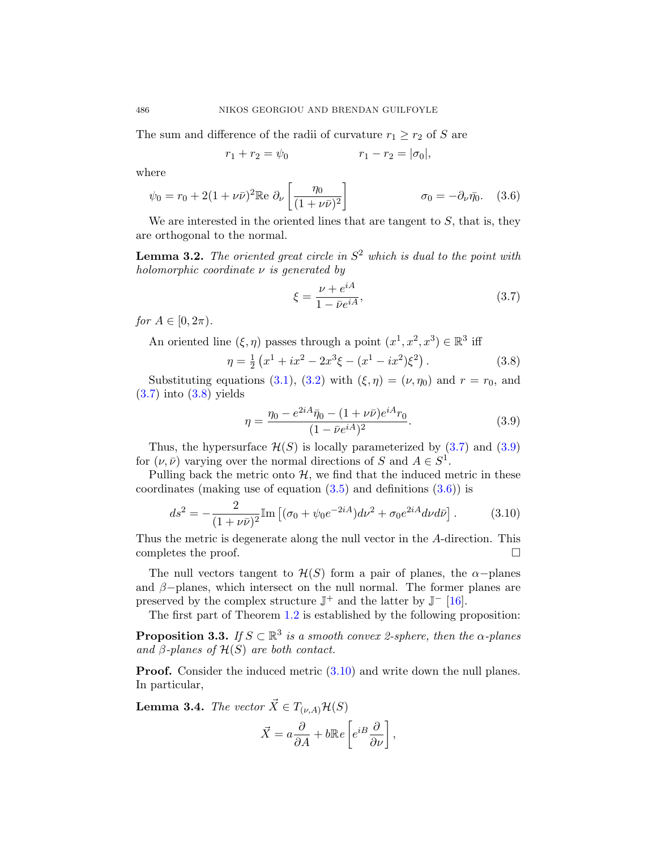The sum and difference of the radii of curvature  $r_1 \ge r_2$  of S are

$$
r_1 + r_2 = \psi_0 \qquad \qquad r_1 - r_2 = |\sigma_0|,
$$

where

$$
\psi_0 = r_0 + 2(1 + \nu \bar{\nu})^2 \mathbb{R}e \partial_\nu \left[ \frac{\eta_0}{(1 + \nu \bar{\nu})^2} \right] \qquad \qquad \sigma_0 = -\partial_\nu \bar{\eta_0}. \quad (3.6)
$$

We are interested in the oriented lines that are tangent to  $S$ , that is, they are orthogonal to the normal.

**Lemma 3.2.** The oriented great circle in  $S^2$  which is dual to the point with holomorphic coordinate  $\nu$  is generated by

$$
\xi = \frac{\nu + e^{iA}}{1 - \bar{\nu}e^{iA}},\tag{3.7}
$$

for  $A \in [0, 2\pi)$ .

An oriented line  $(\xi, \eta)$  passes through a point  $(x^1, x^2, x^3) \in \mathbb{R}^3$  iff

$$
\eta = \frac{1}{2} \left( x^1 + ix^2 - 2x^3 \xi - (x^1 - ix^2) \xi^2 \right). \tag{3.8}
$$

Substituting equations [\(3.1\)](#page-7-0), [\(3.2\)](#page-7-0) with  $(\xi, \eta) = (\nu, \eta_0)$  and  $r = r_0$ , and (3.7) into (3.8) yields

$$
\eta = \frac{\eta_0 - e^{2iA}\bar{\eta}_0 - (1 + \nu\bar{\nu})e^{iA}r_0}{(1 - \bar{\nu}e^{iA})^2}.
$$
\n(3.9)

Thus, the hypersurface  $\mathcal{H}(S)$  is locally parameterized by  $(3.7)$  and  $(3.9)$ for  $(\nu, \bar{\nu})$  varying over the normal directions of S and  $A \in S^1$ .

Pulling back the metric onto  $H$ , we find that the induced metric in these coordinates (making use of equation  $(3.5)$  and definitions  $(3.6)$ ) is

$$
ds^{2} = -\frac{2}{(1+\nu\bar{\nu})^{2}} \text{Im}\left[ (\sigma_{0} + \psi_{0}e^{-2iA})d\nu^{2} + \sigma_{0}e^{2iA}d\nu d\bar{\nu} \right]. \tag{3.10}
$$

Thus the metric is degenerate along the null vector in the A-direction. This completes the proof.

The null vectors tangent to  $\mathcal{H}(S)$  form a pair of planes, the  $\alpha$ -planes and  $\beta$ -planes, which intersect on the null normal. The former planes are preserved by the complex structure  $\mathbb{J}^+$  and the latter by  $\mathbb{J}^-$  [\[16\]](#page-28-0).

The first part of Theorem [1.2](#page-2-0) is established by the following proposition:

**Proposition 3.3.** If  $S \subset \mathbb{R}^3$  is a smooth convex 2-sphere, then the  $\alpha$ -planes and  $\beta$ -planes of  $\mathcal{H}(S)$  are both contact.

**Proof.** Consider the induced metric  $(3.10)$  and write down the null planes. In particular,

**Lemma 3.4.** The vector  $\vec{X} \in T_{(\nu,A)}\mathcal{H}(S)$ 

$$
\vec{X} = a \frac{\partial}{\partial A} + b \mathbb{R} e \left[ e^{iB} \frac{\partial}{\partial \nu} \right],
$$

<span id="page-9-0"></span>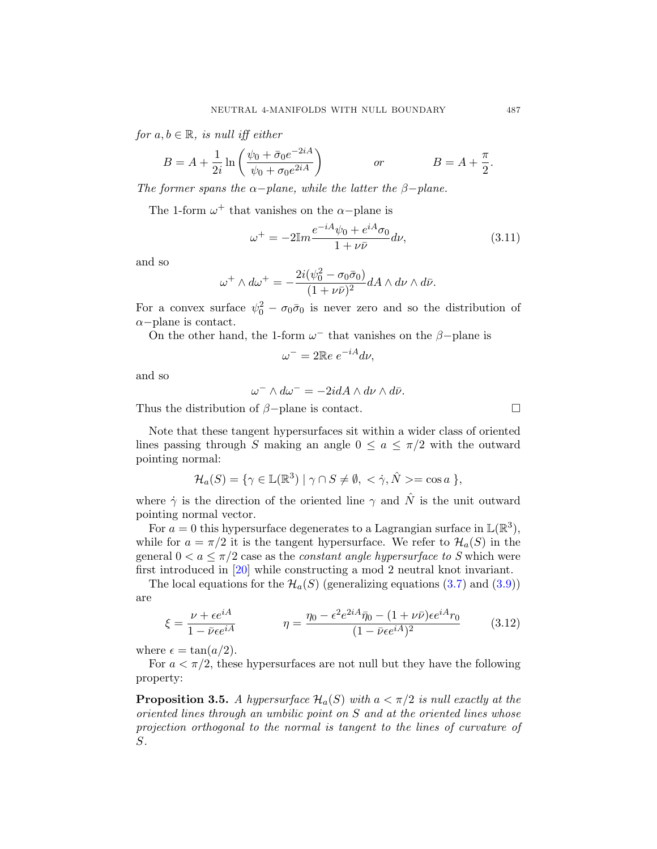<span id="page-10-0"></span>for  $a, b \in \mathbb{R}$ , is null iff either

$$
B = A + \frac{1}{2i} \ln \left( \frac{\psi_0 + \bar{\sigma}_0 e^{-2iA}}{\psi_0 + \sigma_0 e^{2iA}} \right) \qquad or \qquad B = A + \frac{\pi}{2}.
$$

The former spans the  $\alpha$ −plane, while the latter the  $\beta$ −plane.

The 1-form  $\omega^+$  that vanishes on the  $\alpha$ -plane is

$$
\omega^{+} = -2\mathbb{I}m \frac{e^{-iA}\psi_0 + e^{iA}\sigma_0}{1 + \nu\bar{\nu}}d\nu,
$$
\n(3.11)

and so

$$
\omega^+ \wedge d\omega^+ = -\frac{2i(\psi_0^2 - \sigma_0 \bar{\sigma}_0)}{(1 + \nu \bar{\nu})^2} dA \wedge d\nu \wedge d\bar{\nu}.
$$

For a convex surface  $\psi_0^2 - \sigma_0 \bar{\sigma}_0$  is never zero and so the distribution of  $\alpha$ −plane is contact.

On the other hand, the 1-form  $\omega^-$  that vanishes on the  $\beta$ -plane is

$$
\omega^- = 2\mathbb{R}e \; e^{-iA} d\nu,
$$

and so

$$
\omega^- \wedge d\omega^- = -2idA \wedge d\nu \wedge d\bar{\nu}.
$$

Thus the distribution of  $\beta$ -plane is contact.  $\Box$ 

Note that these tangent hypersurfaces sit within a wider class of oriented lines passing through S making an angle  $0 \le a \le \pi/2$  with the outward pointing normal:

$$
\mathcal{H}_a(S) = \{ \gamma \in \mathbb{L}(\mathbb{R}^3) \mid \gamma \cap S \neq \emptyset, \langle \gamma, \hat{N} \rangle = \cos a \},
$$

where  $\dot{\gamma}$  is the direction of the oriented line  $\gamma$  and  $\hat{N}$  is the unit outward pointing normal vector.

For  $a = 0$  this hypersurface degenerates to a Lagrangian surface in  $\mathbb{L}(\mathbb{R}^3)$ , while for  $a = \pi/2$  it is the tangent hypersurface. We refer to  $\mathcal{H}_a(S)$  in the general  $0 < a \leq \pi/2$  case as the *constant angle hypersurface to S* which were first introduced in [\[20\]](#page-29-0) while constructing a mod 2 neutral knot invariant.

The local equations for the  $\mathcal{H}_a(S)$  (generalizing equations [\(3.7\)](#page-9-0) and [\(3.9\)](#page-9-0)) are

$$
\xi = \frac{\nu + \epsilon e^{iA}}{1 - \bar{\nu}\epsilon e^{iA}} \qquad \eta = \frac{\eta_0 - \epsilon^2 e^{2iA}\bar{\eta}_0 - (1 + \nu\bar{\nu})\epsilon e^{iA}r_0}{(1 - \bar{\nu}\epsilon e^{iA})^2} \qquad (3.12)
$$

where  $\epsilon = \tan(a/2)$ .

For  $a < \pi/2$ , these hypersurfaces are not null but they have the following property:

**Proposition 3.5.** A hypersurface  $\mathcal{H}_a(S)$  with  $a < \pi/2$  is null exactly at the oriented lines through an umbilic point on S and at the oriented lines whose projection orthogonal to the normal is tangent to the lines of curvature of S.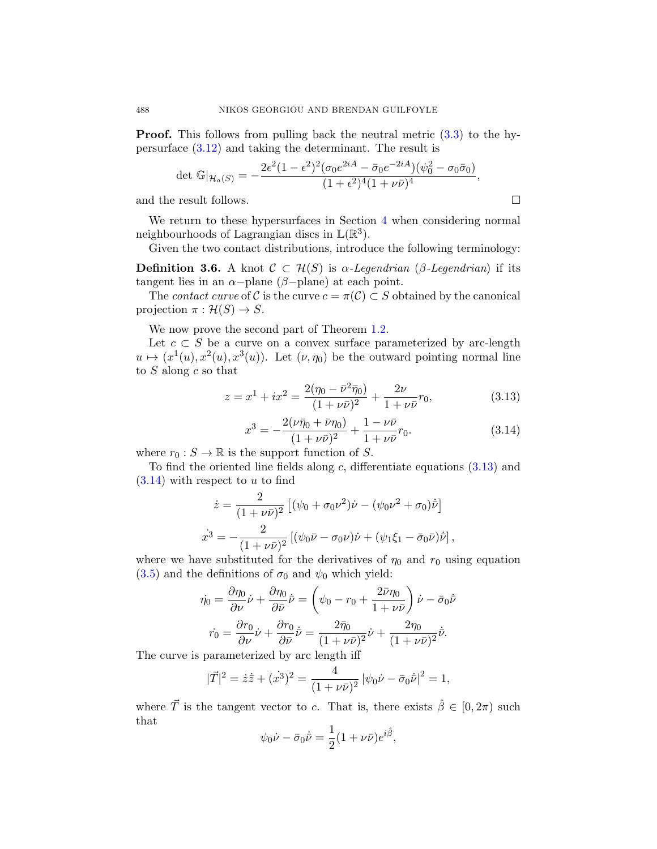**Proof.** This follows from pulling back the neutral metric  $(3.3)$  to the hypersurface [\(3.12\)](#page-10-0) and taking the determinant. The result is

$$
\det \mathbb{G}|_{\mathcal{H}_a(S)} = -\frac{2\epsilon^2 (1-\epsilon^2)^2 (\sigma_0 e^{2iA} - \bar{\sigma}_0 e^{-2iA}) (\psi_0^2 - \sigma_0 \bar{\sigma}_0)}{(1+\epsilon^2)^4 (1+\nu \bar{\nu})^4},
$$

and the result follows.  $\Box$ 

We return to these hypersurfaces in Section [4](#page-20-0) when considering normal neighbourhoods of Lagrangian discs in  $\mathbb{L}(\mathbb{R}^3)$ .

Given the two contact distributions, introduce the following terminology:

**Definition 3.6.** A knot  $\mathcal{C} \subset \mathcal{H}(S)$  is  $\alpha$ -Legendrian ( $\beta$ -Legendrian) if its tangent lies in an  $\alpha$ -plane ( $\beta$ -plane) at each point.

The *contact curve* of C is the curve  $c = \pi(\mathcal{C}) \subset S$  obtained by the canonical projection  $\pi : \mathcal{H}(S) \to S$ .

We now prove the second part of Theorem [1.2.](#page-2-0)

Let  $c \subset S$  be a curve on a convex surface parameterized by arc-length  $u \mapsto (x^1(u), x^2(u), x^3(u))$ . Let  $(\nu, \eta_0)$  be the outward pointing normal line to  $S$  along  $c$  so that

$$
z = x^{1} + ix^{2} = \frac{2(\eta_{0} - \bar{\nu}^{2}\bar{\eta}_{0})}{(1 + \nu\bar{\nu})^{2}} + \frac{2\nu}{1 + \nu\bar{\nu}}r_{0},
$$
\n(3.13)

$$
x^3 = -\frac{2(\nu\bar{\eta}_0 + \bar{\nu}\eta_0)}{(1 + \nu\bar{\nu})^2} + \frac{1 - \nu\bar{\nu}}{1 + \nu\bar{\nu}}r_0.
$$
 (3.14)

where  $r_0 : S \to \mathbb{R}$  is the support function of S.

To find the oriented line fields along c, differentiate equations  $(3.13)$  and  $(3.14)$  with respect to u to find

$$
\dot{z} = \frac{2}{(1 + \nu \bar{\nu})^2} \left[ (\psi_0 + \sigma_0 \nu^2) \dot{\nu} - (\psi_0 \nu^2 + \sigma_0) \dot{\nu} \right]
$$
  

$$
\dot{x}^3 = -\frac{2}{(1 + \nu \bar{\nu})^2} \left[ (\psi_0 \bar{\nu} - \sigma_0 \nu) \dot{\nu} + (\psi_1 \xi_1 - \bar{\sigma}_0 \bar{\nu}) \dot{\nu} \right],
$$

where we have substituted for the derivatives of  $\eta_0$  and  $r_0$  using equation  $(3.5)$  and the definitions of  $\sigma_0$  and  $\psi_0$  which yield:

$$
\dot{\eta_0} = \frac{\partial \eta_0}{\partial \nu} \dot{\nu} + \frac{\partial \eta_0}{\partial \bar{\nu}} \dot{\bar{\nu}} = \left( \psi_0 - r_0 + \frac{2 \bar{\nu} \eta_0}{1 + \nu \bar{\nu}} \right) \dot{\nu} - \bar{\sigma}_0 \dot{\bar{\nu}}
$$

$$
\dot{r_0} = \frac{\partial r_0}{\partial \nu} \dot{\nu} + \frac{\partial r_0}{\partial \bar{\nu}} \dot{\bar{\nu}} = \frac{2 \bar{\eta}_0}{(1 + \nu \bar{\nu})^2} \dot{\nu} + \frac{2 \eta_0}{(1 + \nu \bar{\nu})^2} \dot{\bar{\nu}}.
$$

The curve is parameterized by arc length iff

$$
|\vec{T}|^2 = \dot{z}\dot{\bar{z}} + (\dot{x}^3)^2 = \frac{4}{(1+\nu\bar{\nu})^2} |\psi_0\dot{\nu} - \bar{\sigma}_0\dot{\bar{\nu}}|^2 = 1,
$$

where  $\vec{T}$  is the tangent vector to c. That is, there exists  $\hat{\beta} \in [0, 2\pi)$  such that

$$
\psi_0 \dot{\nu} - \bar{\sigma}_0 \dot{\bar{\nu}} = \frac{1}{2} (1 + \nu \bar{\nu}) e^{i \hat{\beta}},
$$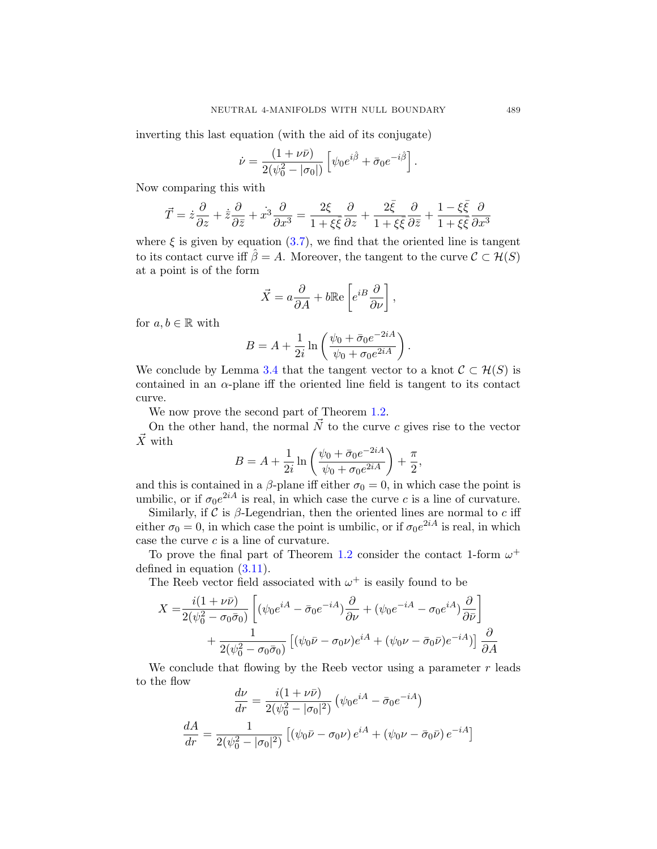inverting this last equation (with the aid of its conjugate)

$$
\dot{\nu} = \frac{(1+\nu\bar{\nu})}{2(\psi_0^2 - |\sigma_0|)} \left[ \psi_0 e^{i\hat{\beta}} + \bar{\sigma}_0 e^{-i\hat{\beta}} \right].
$$

Now comparing this with

$$
\vec{T} = \dot{z}\frac{\partial}{\partial z} + \dot{\bar{z}}\frac{\partial}{\partial \bar{z}} + \dot{x}^3 \frac{\partial}{\partial x^3} = \frac{2\xi}{1 + \xi\bar{\xi}}\frac{\partial}{\partial z} + \frac{2\bar{\xi}}{1 + \xi\bar{\xi}}\frac{\partial}{\partial \bar{z}} + \frac{1 - \xi\bar{\xi}}{1 + \xi\bar{\xi}}\frac{\partial}{\partial x^3}
$$

where  $\xi$  is given by equation [\(3.7\)](#page-9-0), we find that the oriented line is tangent to its contact curve iff  $\hat{\beta} = A$ . Moreover, the tangent to the curve  $\mathcal{C} \subset \mathcal{H}(S)$ at a point is of the form

$$
\vec{X} = a \frac{\partial}{\partial A} + b \mathbb{R} e \left[ e^{iB} \frac{\partial}{\partial \nu} \right],
$$

for  $a, b \in \mathbb{R}$  with

$$
B = A + \frac{1}{2i} \ln \left( \frac{\psi_0 + \bar{\sigma}_0 e^{-2iA}}{\psi_0 + \sigma_0 e^{2iA}} \right)
$$

.

We conclude by Lemma [3.4](#page-9-0) that the tangent vector to a knot  $\mathcal{C} \subset \mathcal{H}(S)$  is contained in an  $\alpha$ -plane iff the oriented line field is tangent to its contact curve.

We now prove the second part of Theorem [1.2.](#page-2-0)

On the other hand, the normal  $\vec{N}$  to the curve c gives rise to the vector  $\vec{X}$  with

$$
B = A + \frac{1}{2i} \ln \left( \frac{\psi_0 + \bar{\sigma}_0 e^{-2iA}}{\psi_0 + \sigma_0 e^{2iA}} \right) + \frac{\pi}{2},
$$

and this is contained in a  $\beta$ -plane iff either  $\sigma_0 = 0$ , in which case the point is umbilic, or if  $\sigma_0 e^{2iA}$  is real, in which case the curve c is a line of curvature.

Similarly, if  $\mathcal C$  is  $\beta$ -Legendrian, then the oriented lines are normal to  $c$  iff either  $\sigma_0 = 0$ , in which case the point is umbilic, or if  $\sigma_0 e^{2iA}$  is real, in which case the curve c is a line of curvature.

To prove the final part of Theorem [1.2](#page-2-0) consider the contact 1-form  $\omega^+$ defined in equation [\(3.11\)](#page-10-0).

The Reeb vector field associated with  $\omega^+$  is easily found to be

$$
X = \frac{i(1+\nu\bar{\nu})}{2(\psi_0^2 - \sigma_0\bar{\sigma}_0)} \left[ (\psi_0 e^{iA} - \bar{\sigma}_0 e^{-iA}) \frac{\partial}{\partial \nu} + (\psi_0 e^{-iA} - \sigma_0 e^{iA}) \frac{\partial}{\partial \bar{\nu}} \right] + \frac{1}{2(\psi_0^2 - \sigma_0\bar{\sigma}_0)} \left[ (\psi_0 \bar{\nu} - \sigma_0 \nu) e^{iA} + (\psi_0 \nu - \bar{\sigma}_0 \bar{\nu}) e^{-iA} \right] \frac{\partial}{\partial A}
$$

We conclude that flowing by the Reeb vector using a parameter  $r$  leads to the flow

$$
\frac{d\nu}{dr} = \frac{i(1+\nu\bar{\nu})}{2(\psi_0^2 - |\sigma_0|^2)} \left(\psi_0 e^{iA} - \bar{\sigma}_0 e^{-iA}\right)
$$

$$
\frac{dA}{dr} = \frac{1}{2(\psi_0^2 - |\sigma_0|^2)} \left[ \left(\psi_0 \bar{\nu} - \sigma_0 \nu\right) e^{iA} + \left(\psi_0 \nu - \bar{\sigma}_0 \bar{\nu}\right) e^{-iA} \right]
$$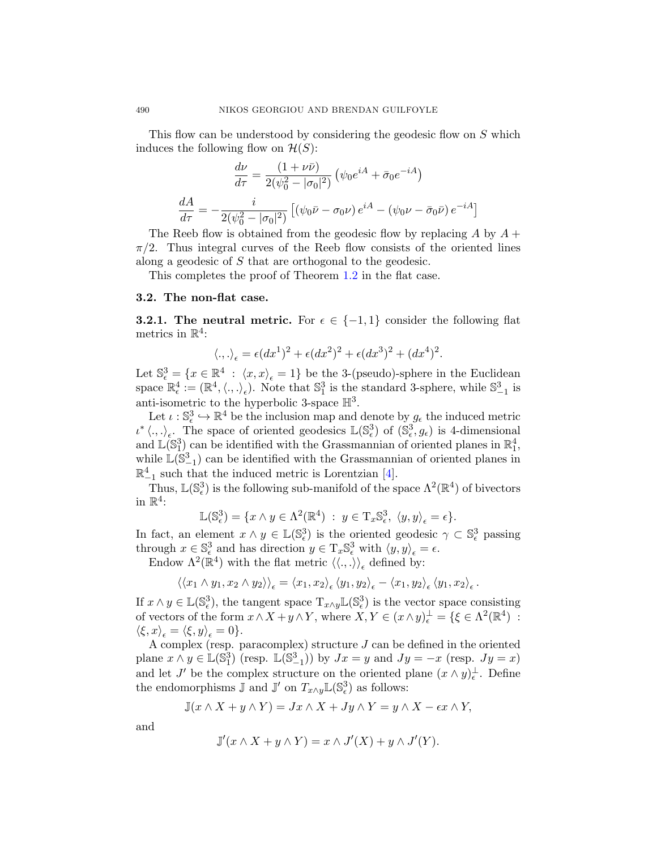This flow can be understood by considering the geodesic flow on S which induces the following flow on  $\mathcal{H}(S)$ :

$$
\frac{d\nu}{d\tau} = \frac{(1+\nu\bar{\nu})}{2(\psi_0^2 - |\sigma_0|^2)} \left(\psi_0 e^{iA} + \bar{\sigma}_0 e^{-iA}\right)
$$

$$
\frac{dA}{d\tau} = -\frac{i}{2(\psi_0^2 - |\sigma_0|^2)} \left[ \left(\psi_0 \bar{\nu} - \sigma_0 \nu\right) e^{iA} - \left(\psi_0 \nu - \bar{\sigma}_0 \bar{\nu}\right) e^{-iA} \right]
$$

The Reeb flow is obtained from the geodesic flow by replacing A by  $A +$  $\pi/2$ . Thus integral curves of the Reeb flow consists of the oriented lines along a geodesic of S that are orthogonal to the geodesic.

This completes the proof of Theorem [1.2](#page-2-0) in the flat case.

#### 3.2. The non-flat case.

**3.2.1. The neutral metric.** For  $\epsilon \in \{-1,1\}$  consider the following flat metrics in  $\mathbb{R}^4$ :

$$
\langle .,.\rangle_{\epsilon} = \epsilon (dx^1)^2 + \epsilon (dx^2)^2 + \epsilon (dx^3)^2 + (dx^4)^2.
$$

Let  $\mathbb{S}^3_{\epsilon} = \{x \in \mathbb{R}^4 : \langle x, x \rangle_{\epsilon} = 1\}$  be the 3-(pseudo)-sphere in the Euclidean space  $\mathbb{R}^4_\epsilon := (\mathbb{R}^4, \langle.,.\rangle_\epsilon)$ . Note that  $\mathbb{S}^3_1$  is the standard 3-sphere, while  $\mathbb{S}^3_{-1}$  is anti-isometric to the hyperbolic 3-space  $\mathbb{H}^3$ .

Let  $\iota : \mathbb{S}^3_{\epsilon} \hookrightarrow \mathbb{R}^4$  be the inclusion map and denote by  $g_{\epsilon}$  the induced metric  $\iota^* \langle .,.\rangle_{\epsilon}$ . The space of oriented geodesics  $\mathbb{L}(\mathbb{S}_{\epsilon}^3)$  of  $(\mathbb{S}_{\epsilon}^3, g_{\epsilon})$  is 4-dimensional and  $\mathbb{L}(\mathbb{S}_1^3)$  can be identified with the Grassmannian of oriented planes in  $\mathbb{R}_1^4$ , while  $\mathbb{L}(\widetilde{\mathbb{S}}_{-1}^3)$  can be identified with the Grassmannian of oriented planes in  $\mathbb{R}^4_{-1}$  such that the induced metric is Lorentzian [\[4\]](#page-27-0).

Thus,  $\mathbb{L}(\mathbb{S}_{\epsilon}^3)$  is the following sub-manifold of the space  $\Lambda^2(\mathbb{R}^4)$  of bivectors in  $\mathbb{R}^4$ :

$$
\mathbb{L}(\mathbb{S}_{\epsilon}^3) = \{x \wedge y \in \Lambda^2(\mathbb{R}^4) : y \in \mathrm{T}_x \mathbb{S}_{\epsilon}^3, \langle y, y \rangle_{\epsilon} = \epsilon\}.
$$

In fact, an element  $x \wedge y \in \mathbb{L}(\mathbb{S}_{\epsilon}^3)$  is the oriented geodesic  $\gamma \subset \mathbb{S}_{\epsilon}^3$  passing through  $x \in \mathbb{S}^3_{\epsilon}$  and has direction  $y \in \mathrm{T}_x \mathbb{S}^3_{\epsilon}$  with  $\langle y, y \rangle_{\epsilon} = \epsilon$ .

Endow  $\Lambda^2(\mathbb{R}^4)$  with the flat metric  $\langle \langle ., . \rangle \rangle_{\epsilon}$  defined by:

$$
\langle \langle x_1 \wedge y_1, x_2 \wedge y_2 \rangle \rangle_{\epsilon} = \langle x_1, x_2 \rangle_{\epsilon} \langle y_1, y_2 \rangle_{\epsilon} - \langle x_1, y_2 \rangle_{\epsilon} \langle y_1, x_2 \rangle_{\epsilon}.
$$

If  $x \wedge y \in \mathbb{L}(\mathbb{S}^3_{\epsilon})$ , the tangent space  $T_{x \wedge y} \mathbb{L}(\mathbb{S}^3_{\epsilon})$  is the vector space consisting of vectors of the form  $x \wedge X + y \wedge Y$ , where  $\overline{X}, Y \in (x \wedge y)_{\epsilon}^{\perp} = \{ \xi \in \Lambda^2(\mathbb{R}^4) :$  $\langle \xi, x \rangle_{\epsilon} = \langle \xi, y \rangle_{\epsilon} = 0$ .

A complex (resp. paracomplex) structure  $J$  can be defined in the oriented plane  $x \wedge y \in \mathbb{L}(\mathbb{S}_1^3)$  (resp.  $\mathbb{L}(\mathbb{S}_{-1}^3)$ ) by  $Jx = y$  and  $Jy = -x$  (resp.  $Jy = x$ ) and let J' be the complex structure on the oriented plane  $(x \wedge y)_\epsilon^{\perp}$ . Define the endomorphisms  $\mathbb J$  and  $\mathbb J'$  on  $T_{x\wedge y}\mathbb L(\mathbb S^3_\epsilon)$  as follows:

$$
\mathbb{J}(x \wedge X + y \wedge Y) = Jx \wedge X + Jy \wedge Y = y \wedge X - \epsilon x \wedge Y,
$$

and

$$
\mathbb{J}'(x \wedge X + y \wedge Y) = x \wedge J'(X) + y \wedge J'(Y).
$$

<span id="page-13-0"></span>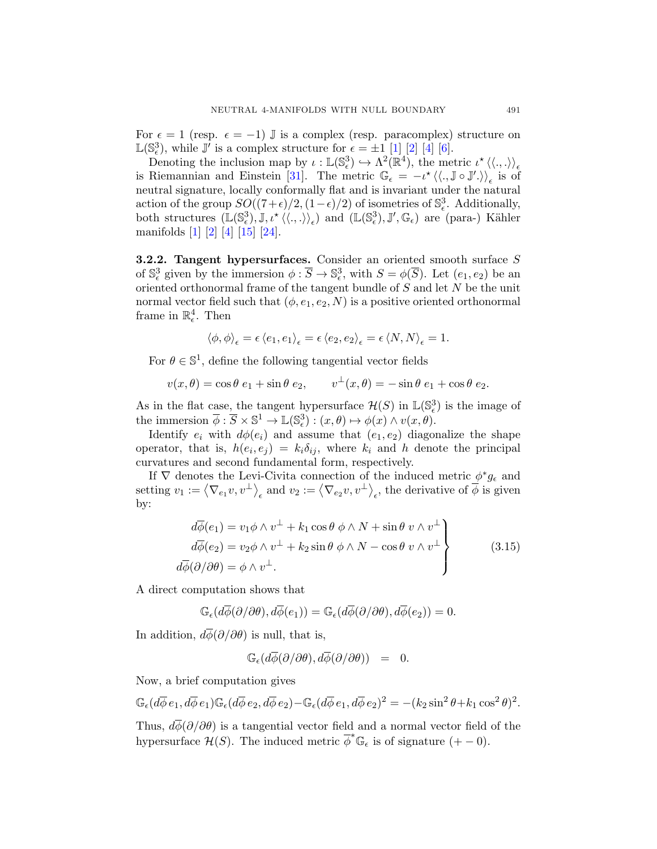<span id="page-14-0"></span>For  $\epsilon = 1$  (resp.  $\epsilon = -1$ ) J is a complex (resp. paracomplex) structure on  $\mathbb{L}(\mathbb{S}_{\epsilon}^3)$ , while  $\mathbb{J}'$  is a complex structure for  $\epsilon = \pm 1$  [\[1\]](#page-27-0) [\[2\]](#page-27-0) [\[4\]](#page-27-0) [\[6\]](#page-28-0).

Denoting the inclusion map by  $\iota : \mathbb{L}(\mathbb{S}^3_\epsilon) \hookrightarrow \Lambda^2(\mathbb{R}^4)$ , the metric  $\iota^* \langle \langle ., . \rangle \rangle_\epsilon$ is Riemannian and Einstein [\[31\]](#page-29-0). The metric  $\mathbb{G}_{\epsilon} = -\iota^* \langle \langle ., \mathbb{J} \circ \mathbb{J}' . \rangle \rangle_{\epsilon}$  is of neutral signature, locally conformally flat and is invariant under the natural action of the group  $SO((7+\epsilon)/2, (1-\epsilon)/2)$  of isometries of  $\mathbb{S}_{\epsilon}^3$ . Additionally, both structures  $(\mathbb{L}(\mathbb{S}_{\epsilon}^3), \mathbb{J}, \iota^{\star}\langle\langle.,.\rangle\rangle_{\epsilon})$  and  $(\mathbb{L}(\mathbb{S}_{\epsilon}^3), \mathbb{J}', \mathbb{G}_{\epsilon})$  are (para-) Kähler manifolds [\[1\]](#page-27-0) [\[2\]](#page-27-0) [\[4\]](#page-27-0) [\[15\]](#page-28-0) [\[24\]](#page-29-0).

3.2.2. Tangent hypersurfaces. Consider an oriented smooth surface S of  $\mathbb{S}^3_{\epsilon}$  given by the immersion  $\phi : \overline{S} \to \mathbb{S}^3_{\epsilon}$ , with  $S = \phi(\overline{S})$ . Let  $(e_1, e_2)$  be an oriented orthonormal frame of the tangent bundle of S and let N be the unit normal vector field such that  $(\phi, e_1, e_2, N)$  is a positive oriented orthonormal frame in  $\mathbb{R}^4_{\epsilon}$ . Then

$$
\langle \phi, \phi \rangle_{\epsilon} = \epsilon \, \langle e_1, e_1 \rangle_{\epsilon} = \epsilon \, \langle e_2, e_2 \rangle_{\epsilon} = \epsilon \, \langle N, N \rangle_{\epsilon} = 1.
$$

For  $\theta \in \mathbb{S}^1$ , define the following tangential vector fields

$$
v(x,\theta) = \cos\theta \ e_1 + \sin\theta \ e_2, \qquad v^{\perp}(x,\theta) = -\sin\theta \ e_1 + \cos\theta \ e_2.
$$

As in the flat case, the tangent hypersurface  $\mathcal{H}(S)$  in  $\mathbb{L}(\mathbb{S}_{\epsilon}^3)$  is the image of the immersion  $\overline{\phi} : \overline{S} \times \mathbb{S}^1 \to \mathbb{L}(\mathbb{S}_{\epsilon}^3) : (x, \theta) \mapsto \phi(x) \wedge v(x, \theta).$ 

Identify  $e_i$  with  $d\phi(e_i)$  and assume that  $(e_1, e_2)$  diagonalize the shape operator, that is,  $h(e_i, e_j) = k_i \delta_{ij}$ , where  $k_i$  and h denote the principal curvatures and second fundamental form, respectively.

If  $\nabla$  denotes the Levi-Civita connection of the induced metric  $\phi^*g_{\epsilon}$  and setting  $v_1 := \langle \nabla_{e_1} v, v^{\perp} \rangle_{\epsilon}$  and  $v_2 := \langle \nabla_{e_2} v, v^{\perp} \rangle_{\epsilon}$ , the derivative of  $\overline{\phi}$  is given by:

$$
d\overline{\phi}(e_1) = v_1 \phi \wedge v^{\perp} + k_1 \cos \theta \phi \wedge N + \sin \theta v \wedge v^{\perp}
$$
  
\n
$$
d\overline{\phi}(e_2) = v_2 \phi \wedge v^{\perp} + k_2 \sin \theta \phi \wedge N - \cos \theta v \wedge v^{\perp}
$$
  
\n
$$
d\overline{\phi}(\partial/\partial \theta) = \phi \wedge v^{\perp}.
$$
\n(3.15)

A direct computation shows that

$$
\mathbb{G}_{\epsilon}(d\overline{\phi}(\partial/\partial \theta), d\overline{\phi}(e_1)) = \mathbb{G}_{\epsilon}(d\overline{\phi}(\partial/\partial \theta), d\overline{\phi}(e_2)) = 0.
$$

In addition,  $d\overline{\phi}(\partial/\partial\theta)$  is null, that is,

$$
\mathbb{G}_{\epsilon}(d\overline{\phi}(\partial/\partial \theta), d\overline{\phi}(\partial/\partial \theta)) = 0.
$$

Now, a brief computation gives

$$
\mathbb{G}_{\epsilon}(d\overline{\phi} e_1, d\overline{\phi} e_1)\mathbb{G}_{\epsilon}(d\overline{\phi} e_2, d\overline{\phi} e_2)-\mathbb{G}_{\epsilon}(d\overline{\phi} e_1, d\overline{\phi} e_2)^2=-(k_2\sin^2\theta+k_1\cos^2\theta)^2.
$$

Thus,  $d\phi(\partial/\partial\theta)$  is a tangential vector field and a normal vector field of the hypersurface  $\mathcal{H}(S)$ . The induced metric  $\overline{\phi}^* \mathbb{G}_{\epsilon}$  is of signature  $(+-0)$ .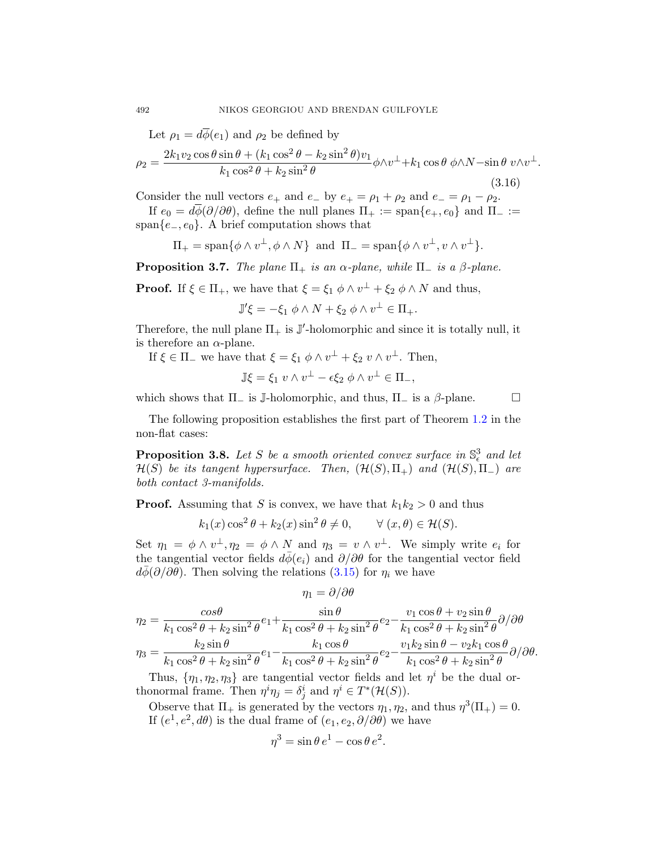Let  $\rho_1 = d\overline{\phi}(e_1)$  and  $\rho_2$  be defined by

$$
\rho_2 = \frac{2k_1v_2\cos\theta\sin\theta + (k_1\cos^2\theta - k_2\sin^2\theta)v_1}{k_1\cos^2\theta + k_2\sin^2\theta}\phi\wedge v^\perp + k_1\cos\theta\phi\wedge N - \sin\theta v\wedge v^\perp.
$$
\n(3.16)

Consider the null vectors  $e_+$  and  $e_-$  by  $e_+ = \rho_1 + \rho_2$  and  $e_- = \rho_1 - \rho_2$ .

If  $e_0 = d\phi(\partial/\partial\theta)$ , define the null planes  $\Pi_+ := \text{span}\{e_+, e_0\}$  and  $\Pi_- :=$ span $\{e_-, e_0\}$ . A brief computation shows that

$$
\Pi_+ = \text{span}\{\phi \wedge v^\perp, \phi \wedge N\} \text{ and } \Pi_- = \text{span}\{\phi \wedge v^\perp, v \wedge v^\perp\}.
$$

**Proposition 3.7.** The plane  $\Pi_+$  is an  $\alpha$ -plane, while  $\Pi_-$  is a  $\beta$ -plane.

**Proof.** If  $\xi \in \Pi_+$ , we have that  $\xi = \xi_1 \phi \wedge v^{\perp} + \xi_2 \phi \wedge N$  and thus,

$$
\mathbb{J}'\xi = -\xi_1 \phi \wedge N + \xi_2 \phi \wedge v^{\perp} \in \Pi_+.
$$

Therefore, the null plane  $\Pi_+$  is  $J'$ -holomorphic and since it is totally null, it is therefore an  $\alpha$ -plane.

If  $\xi \in \Pi_{-}$  we have that  $\xi = \xi_1 \phi \wedge v^{\perp} + \xi_2 v \wedge v^{\perp}$ . Then,

$$
\mathbb{J}\xi = \xi_1 v \wedge v^{\perp} - \epsilon \xi_2 \phi \wedge v^{\perp} \in \Pi_{-},
$$

which shows that  $\Pi_{-}$  is J-holomorphic, and thus,  $\Pi_{-}$  is a  $\beta$ -plane.  $\square$ 

The following proposition establishes the first part of Theorem [1.2](#page-2-0) in the non-flat cases:

**Proposition 3.8.** Let S be a smooth oriented convex surface in  $\mathbb{S}^3_{\epsilon}$  and let  $\mathcal{H}(S)$  be its tangent hypersurface. Then,  $(\mathcal{H}(S), \Pi_+)$  and  $(\mathcal{H}(S), \Pi_-)$  are both contact 3-manifolds.

**Proof.** Assuming that S is convex, we have that  $k_1k_2 > 0$  and thus

$$
k_1(x)\cos^2\theta + k_2(x)\sin^2\theta \neq 0
$$
,  $\forall (x, \theta) \in \mathcal{H}(S)$ .

Set  $\eta_1 = \phi \wedge v^{\perp}, \eta_2 = \phi \wedge N$  and  $\eta_3 = v \wedge v^{\perp}$ . We simply write  $e_i$  for the tangential vector fields  $d\bar{\phi}(e_i)$  and  $\partial/\partial\theta$  for the tangential vector field  $d\bar{\phi}(\partial/\partial\theta)$ . Then solving the relations [\(3.15\)](#page-14-0) for  $\eta_i$  we have

$$
\eta_1 = \partial/\partial\theta
$$

$$
\eta_2 = \frac{\cos\theta}{k_1\cos^2\theta + k_2\sin^2\theta}e_1 + \frac{\sin\theta}{k_1\cos^2\theta + k_2\sin^2\theta}e_2 - \frac{v_1\cos\theta + v_2\sin\theta}{k_1\cos^2\theta + k_2\sin^2\theta}\partial/\partial\theta
$$

$$
\eta_3 = \frac{k_2\sin\theta}{k_1\cos^2\theta + k_2\sin^2\theta}e_1 - \frac{k_1\cos\theta}{k_1\cos^2\theta + k_2\sin^2\theta}e_2 - \frac{v_1k_2\sin\theta - v_2k_1\cos\theta}{k_1\cos^2\theta + k_2\sin^2\theta}\partial/\partial\theta.
$$

Thus,  $\{\eta_1, \eta_2, \eta_3\}$  are tangential vector fields and let  $\eta^i$  be the dual orthonormal frame. Then  $\eta^i \eta_j = \delta_j^i$  and  $\eta^i \in T^*(\mathcal{H}(S))$ .

Observe that  $\Pi_+$  is generated by the vectors  $\eta_1, \eta_2$ , and thus  $\eta^3(\Pi_+) = 0$ . If  $(e^1, e^2, d\theta)$  is the dual frame of  $(e_1, e_2, \partial/\partial\theta)$  we have

$$
\eta^3 = \sin \theta \, e^1 - \cos \theta \, e^2.
$$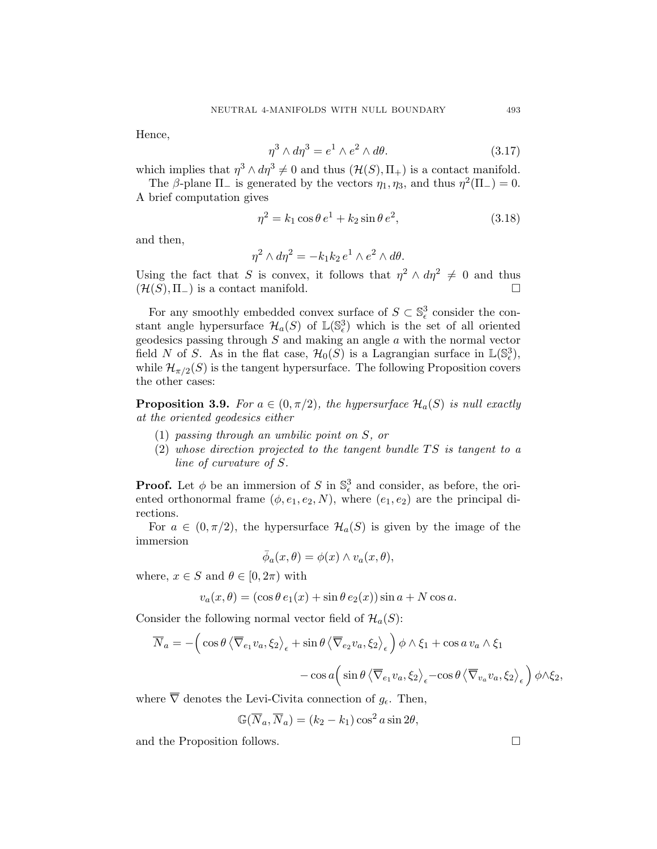<span id="page-16-0"></span>Hence,

$$
\eta^3 \wedge d\eta^3 = e^1 \wedge e^2 \wedge d\theta. \tag{3.17}
$$

which implies that  $\eta^3 \wedge d\eta^3 \neq 0$  and thus  $(\mathcal{H}(S), \Pi_+)$  is a contact manifold.

The  $\beta$ -plane  $\Pi_-$  is generated by the vectors  $\eta_1, \eta_3$ , and thus  $\eta^2(\Pi_-) = 0$ . A brief computation gives

$$
\eta^2 = k_1 \cos \theta \, e^1 + k_2 \sin \theta \, e^2,\tag{3.18}
$$

and then,

$$
\eta^2 \wedge d\eta^2 = -k_1 k_2 e^1 \wedge e^2 \wedge d\theta.
$$

Using the fact that S is convex, it follows that  $\eta^2 \wedge d\eta^2 \neq 0$  and thus  $(\mathcal{H}(S), \Pi_{-})$  is a contact manifold.

For any smoothly embedded convex surface of  $S \subset \mathbb{S}^3_{\epsilon}$  consider the constant angle hypersurface  $\mathcal{H}_a(S)$  of  $\mathbb{L}(\mathbb{S}_{\epsilon}^3)$  which is the set of all oriented geodesics passing through  $S$  and making an angle  $a$  with the normal vector field N of S. As in the flat case,  $\mathcal{H}_0(S)$  is a Lagrangian surface in  $\mathbb{L}(\mathbb{S}^3_{\epsilon})$ , while  $\mathcal{H}_{\pi/2}(S)$  is the tangent hypersurface. The following Proposition covers the other cases:

**Proposition 3.9.** For  $a \in (0, \pi/2)$ , the hypersurface  $\mathcal{H}_a(S)$  is null exactly at the oriented geodesics either

- (1) passing through an umbilic point on S, or
- $(2)$  whose direction projected to the tangent bundle TS is tangent to a line of curvature of S.

**Proof.** Let  $\phi$  be an immersion of S in  $\mathbb{S}^3_{\epsilon}$  and consider, as before, the oriented orthonormal frame  $(\phi, e_1, e_2, N)$ , where  $(e_1, e_2)$  are the principal directions.

For  $a \in (0, \pi/2)$ , the hypersurface  $\mathcal{H}_a(S)$  is given by the image of the immersion

$$
\bar{\phi}_a(x,\theta) = \phi(x) \wedge v_a(x,\theta),
$$

where,  $x \in S$  and  $\theta \in [0, 2\pi)$  with

$$
v_a(x,\theta) = (\cos\theta \, e_1(x) + \sin\theta \, e_2(x)) \sin a + N \cos a.
$$

Consider the following normal vector field of  $\mathcal{H}_a(S)$ :

$$
\overline{N}_a = -\Big(\cos\theta \left\langle \overline{\nabla}_{e_1} v_a, \xi_2 \right\rangle_{\epsilon} + \sin\theta \left\langle \overline{\nabla}_{e_2} v_a, \xi_2 \right\rangle_{\epsilon} \Big) \phi \wedge \xi_1 + \cos a v_a \wedge \xi_1
$$

$$
- \cos a \Big(\sin\theta \left\langle \overline{\nabla}_{e_1} v_a, \xi_2 \right\rangle_{\epsilon} - \cos \theta \left\langle \overline{\nabla}_{v_a} v_a, \xi_2 \right\rangle_{\epsilon} \Big) \phi \wedge \xi_2,
$$

where  $\overline{\nabla}$  denotes the Levi-Civita connection of  $g_{\epsilon}$ . Then,

$$
\mathbb{G}(\overline{N}_a, \overline{N}_a) = (k_2 - k_1) \cos^2 a \sin 2\theta,
$$

and the Proposition follows.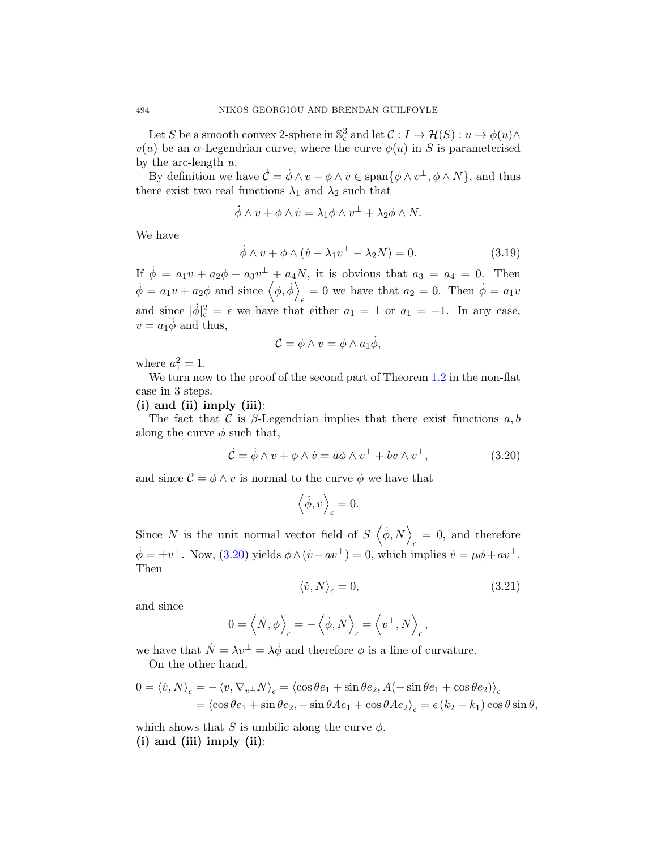Let S be a smooth convex 2-sphere in  $\mathbb{S}^3_\epsilon$  and let  $\mathcal{C}: I \to \mathcal{H}(S): u \mapsto \phi(u) \wedge$  $v(u)$  be an  $\alpha$ -Legendrian curve, where the curve  $\phi(u)$  in S is parameterised by the arc-length  $u$ .

By definition we have  $\mathcal{C} = \dot{\phi} \wedge v + \phi \wedge \dot{v} \in \text{span}\{\phi \wedge v^{\perp}, \phi \wedge N\},\$  and thus there exist two real functions  $\lambda_1$  and  $\lambda_2$  such that

$$
\dot{\phi} \wedge v + \phi \wedge \dot{v} = \lambda_1 \phi \wedge v^{\perp} + \lambda_2 \phi \wedge N.
$$

We have

$$
\dot{\phi} \wedge v + \phi \wedge (\dot{v} - \lambda_1 v^{\perp} - \lambda_2 N) = 0. \tag{3.19}
$$

If  $\dot{\phi} = a_1v + a_2\phi + a_3v^{\perp} + a_4N$ , it is obvious that  $a_3 = a_4 = 0$ . Then  $\dot{\phi} = a_1 v + a_2 \phi \text{ and since } \langle \phi, \dot{\phi} \rangle$  $_{\epsilon} = 0$  we have that  $a_2 = 0$ . Then  $\dot{\phi} = a_1 v$ and since  $|\dot{\phi}|_{\epsilon}^2 = \epsilon$  we have that either  $a_1 = 1$  or  $a_1 = -1$ . In any case,  $v = a_1 \dot{\phi}$  and thus,

$$
\mathcal{C} = \phi \wedge v = \phi \wedge a_1 \dot{\phi},
$$

where  $a_1^2 = 1$ .

We turn now to the proof of the second part of Theorem [1.2](#page-2-0) in the non-flat case in 3 steps.

## $(i)$  and  $(ii)$  imply  $(iii)$ :

The fact that C is  $\beta$ -Legendrian implies that there exist functions a, b along the curve  $\phi$  such that,

$$
\dot{\mathcal{C}} = \dot{\phi} \wedge v + \phi \wedge \dot{v} = a\phi \wedge v^{\perp} + bv \wedge v^{\perp}, \tag{3.20}
$$

and since  $\mathcal{C} = \phi \wedge v$  is normal to the curve  $\phi$  we have that

$$
\left\langle \dot{\phi}, v \right\rangle_{\epsilon} = 0.
$$

Since N is the unit normal vector field of  $S \langle \dot{\phi}, N \rangle$  $_{\epsilon}$  = 0, and therefore  $\dot{\phi} = \pm v^{\perp}$ . Now, (3.20) yields  $\phi \wedge (\dot{v} - av^{\perp}) = 0$ , which implies  $\dot{v} = \mu \phi + av^{\perp}$ . Then

$$
\langle \dot{v}, N \rangle_{\epsilon} = 0,\tag{3.21}
$$

and since

$$
0 = \left\langle \dot{N}, \phi \right\rangle_{\epsilon} = -\left\langle \dot{\phi}, N \right\rangle_{\epsilon} = \left\langle v^{\perp}, N \right\rangle_{\epsilon},
$$

we have that  $\dot{N} = \lambda v^{\perp} = \lambda \dot{\phi}$  and therefore  $\phi$  is a line of curvature. On the other hand,

$$
0 = \langle \dot{v}, N \rangle_{\epsilon} = -\langle v, \nabla_{v^{\perp}} N \rangle_{\epsilon} = \langle \cos \theta e_1 + \sin \theta e_2, A(-\sin \theta e_1 + \cos \theta e_2) \rangle_{\epsilon}
$$
  
=  $\langle \cos \theta e_1 + \sin \theta e_2, -\sin \theta A e_1 + \cos \theta A e_2 \rangle_{\epsilon} = \epsilon (k_2 - k_1) \cos \theta \sin \theta,$ 

which shows that S is umbilic along the curve  $\phi$ .  $(i)$  and  $(iii)$  imply  $(ii)$ :

<span id="page-17-0"></span>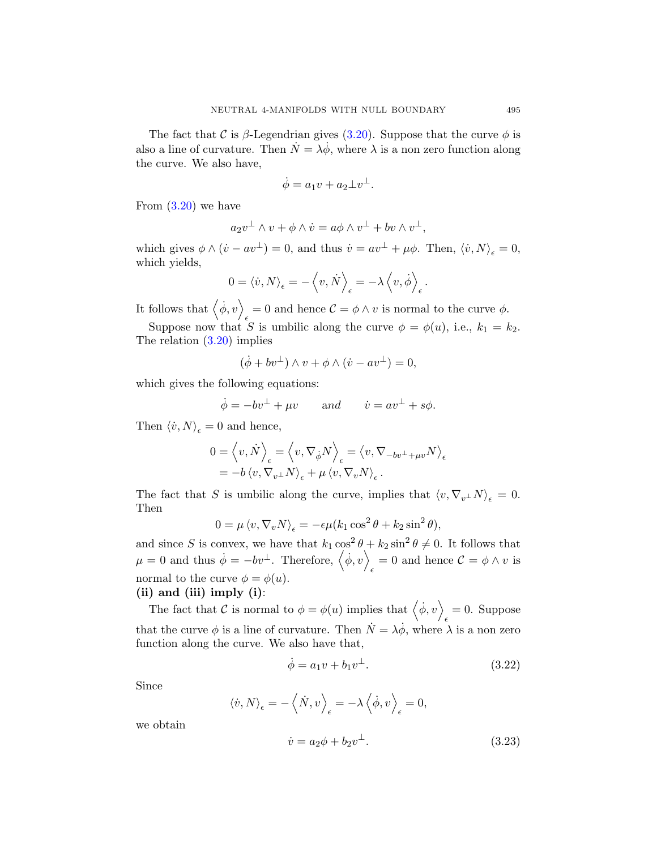<span id="page-18-0"></span>The fact that C is  $\beta$ -Legendrian gives [\(3.20\)](#page-17-0). Suppose that the curve  $\phi$  is also a line of curvature. Then  $\dot{N} = \lambda \dot{\phi}$ , where  $\lambda$  is a non zero function along the curve. We also have,

$$
\dot{\phi} = a_1 v + a_2 \bot v^\bot.
$$

From  $(3.20)$  we have

$$
a_2v^{\perp} \wedge v + \phi \wedge \dot{v} = a\phi \wedge v^{\perp} + bv \wedge v^{\perp},
$$

which gives  $\phi \wedge (\dot{v} - av^{\perp}) = 0$ , and thus  $\dot{v} = av^{\perp} + \mu \phi$ . Then,  $\langle \dot{v}, N \rangle_{\epsilon} = 0$ , which yields,

$$
0 = \langle \dot{v}, N \rangle_{\epsilon} = -\langle v, \dot{N} \rangle_{\epsilon} = -\lambda \langle v, \dot{\phi} \rangle_{\epsilon}.
$$

It follows that  $\langle \dot{\phi}, v \rangle$  $\epsilon = 0$  and hence  $\mathcal{C} = \phi \wedge v$  is normal to the curve  $\phi$ .

Suppose now that S is umbilic along the curve  $\phi = \phi(u)$ , i.e.,  $k_1 = k_2$ . The relation [\(3.20\)](#page-17-0) implies

$$
(\dot{\phi} + bv^{\perp}) \wedge v + \phi \wedge (\dot{v} - av^{\perp}) = 0,
$$

which gives the following equations:

$$
\dot{\phi} = -bv^{\perp} + \mu v
$$
 and  $\dot{v} = av^{\perp} + s\phi$ .

Then  $\langle \dot{v}, N \rangle_{\epsilon} = 0$  and hence,

$$
0 = \langle v, \dot{N} \rangle_{\epsilon} = \langle v, \nabla_{\dot{\phi}} N \rangle_{\epsilon} = \langle v, \nabla_{-bv^{\perp} + \mu v} N \rangle_{\epsilon}
$$
  
=  $-b \langle v, \nabla_{v^{\perp}} N \rangle_{\epsilon} + \mu \langle v, \nabla_{v} N \rangle_{\epsilon}.$ 

The fact that S is umbilic along the curve, implies that  $\langle v, \nabla_v \bot N \rangle_{\epsilon} = 0$ . Then

$$
0 = \mu \left\langle v, \nabla_v N \right\rangle_{\epsilon} = -\epsilon \mu (k_1 \cos^2 \theta + k_2 \sin^2 \theta),
$$

and since S is convex, we have that  $k_1 \cos^2 \theta + k_2 \sin^2 \theta \neq 0$ . It follows that  $\mu = 0$  and thus  $\dot{\phi} = -bv^{\perp}$ . Therefore,  $\langle \dot{\phi}, v \rangle$  $\epsilon = 0$  and hence  $\mathcal{C} = \phi \wedge v$  is normal to the curve  $\phi = \phi(u)$ .

# $(ii)$  and  $(iii)$  imply  $(i)$ :

The fact that C is normal to  $\phi = \phi(u)$  implies that  $\langle \dot{\phi}, v \rangle$  $_{\epsilon} = 0.$  Suppose that the curve  $\phi$  is a line of curvature. Then  $\dot{N} = \lambda \dot{\phi}$ , where  $\lambda$  is a non zero function along the curve. We also have that,

$$
\dot{\phi} = a_1 v + b_1 v^{\perp}.
$$
\n(3.22)

Since

$$
\langle \dot{v}, N \rangle_{\epsilon} = -\langle \dot{N}, v \rangle_{\epsilon} = -\lambda \langle \dot{\phi}, v \rangle_{\epsilon} = 0,
$$

we obtain

$$
\dot{v} = a_2 \phi + b_2 v^{\perp}.
$$
\n
$$
(3.23)
$$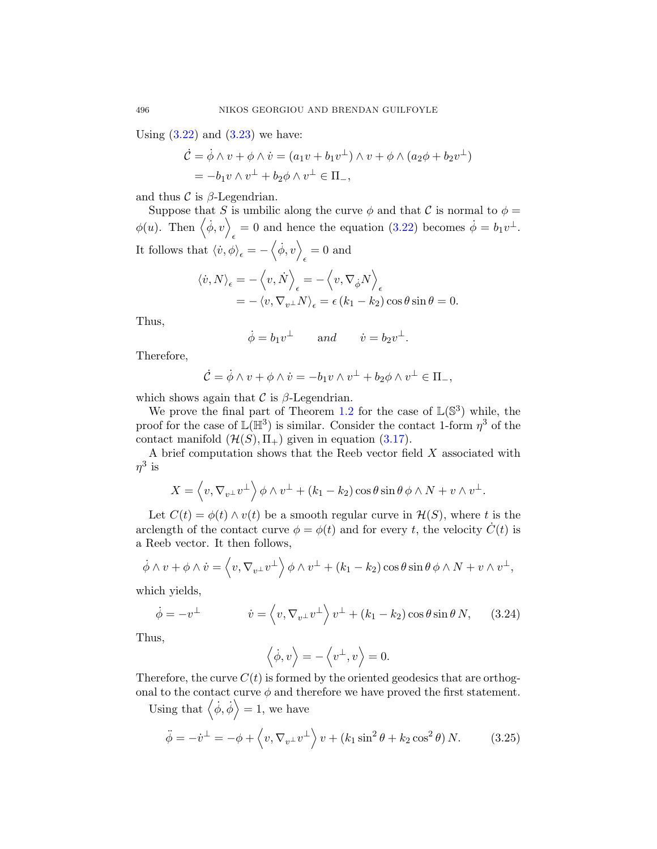Using  $(3.22)$  and  $(3.23)$  we have:

$$
\dot{\mathcal{C}} = \dot{\phi} \wedge v + \phi \wedge \dot{v} = (a_1v + b_1v^{\perp}) \wedge v + \phi \wedge (a_2\phi + b_2v^{\perp})
$$
  
=  $-b_1v \wedge v^{\perp} + b_2\phi \wedge v^{\perp} \in \Pi_-,$ 

and thus  $\mathcal C$  is  $\beta$ -Legendrian.

Suppose that S is umbilic along the curve  $\phi$  and that C is normal to  $\phi =$  $\phi(u)$ . Then  $\langle \dot{\phi}, v \rangle$  $\epsilon = 0$  and hence the equation [\(3.22\)](#page-18-0) becomes  $\dot{\phi} = b_1 v^{\perp}$ . It follows that  $\langle \dot{v}, \phi \rangle_{\epsilon} = -\langle \dot{\phi}, v \rangle$  $_{\epsilon} = 0$  and

$$
\langle \dot{v}, N \rangle_{\epsilon} = -\langle v, \dot{N} \rangle_{\epsilon} = -\langle v, \nabla_{\dot{\phi}} N \rangle_{\epsilon} = -\langle v, \nabla_{v^{\perp}} N \rangle_{\epsilon} = \epsilon (k_1 - k_2) \cos \theta \sin \theta = 0.
$$

Thus,

$$
\dot{\phi} = b_1 v^{\perp}
$$
 and  $\dot{v} = b_2 v^{\perp}$ .

Therefore,

$$
\dot{\mathcal{C}} = \dot{\phi} \wedge v + \phi \wedge \dot{v} = -b_1 v \wedge v^{\perp} + b_2 \phi \wedge v^{\perp} \in \Pi_-,
$$

which shows again that  $\mathcal C$  is  $\beta$ -Legendrian.

We prove the final part of Theorem [1.2](#page-2-0) for the case of  $\mathbb{L}(\mathbb{S}^3)$  while, the proof for the case of  $\mathbb{L}(\mathbb{H}^3)$  is similar. Consider the contact 1-form  $\eta^3$  of the contact manifold  $(\mathcal{H}(S), \Pi_+)$  given in equation [\(3.17\)](#page-16-0).

A brief computation shows that the Reeb vector field  $X$  associated with  $\eta^3$  is

$$
X = \left\langle v, \nabla_{v^{\perp}} v^{\perp} \right\rangle \phi \wedge v^{\perp} + (k_1 - k_2) \cos \theta \sin \theta \phi \wedge N + v \wedge v^{\perp}.
$$

Let  $C(t) = \phi(t) \wedge v(t)$  be a smooth regular curve in  $\mathcal{H}(S)$ , where t is the arclength of the contact curve  $\phi = \phi(t)$  and for every t, the velocity  $\dot{C}(t)$  is a Reeb vector. It then follows,

$$
\dot{\phi} \wedge v + \phi \wedge \dot{v} = \left\langle v, \nabla_{v^{\perp}} v^{\perp} \right\rangle \phi \wedge v^{\perp} + (k_1 - k_2) \cos \theta \sin \theta \phi \wedge N + v \wedge v^{\perp},
$$

which yields,

$$
\dot{\phi} = -v^{\perp} \qquad \dot{v} = \left\langle v, \nabla_{v^{\perp}} v^{\perp} \right\rangle v^{\perp} + (k_1 - k_2) \cos \theta \sin \theta N, \qquad (3.24)
$$

Thus,

$$
\left\langle \dot{\phi}, v \right\rangle = -\left\langle v^{\perp}, v \right\rangle = 0.
$$

Therefore, the curve  $C(t)$  is formed by the oriented geodesics that are orthogonal to the contact curve  $\phi$  and therefore we have proved the first statement.

Using that  $\langle \dot{\phi}, \dot{\phi} \rangle = 1$ , we have

$$
\ddot{\phi} = -\dot{v}^{\perp} = -\phi + \left\langle v, \nabla_{v^{\perp}} v^{\perp} \right\rangle v + \left(k_1 \sin^2 \theta + k_2 \cos^2 \theta\right) N. \tag{3.25}
$$

<span id="page-19-0"></span>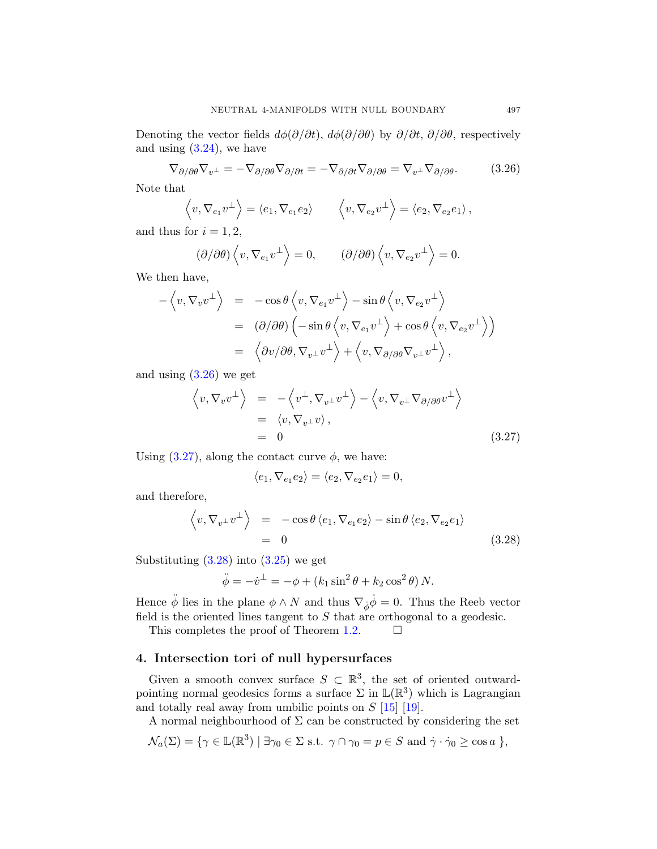<span id="page-20-0"></span>Denoting the vector fields  $d\phi(\partial/\partial t)$ ,  $d\phi(\partial/\partial \theta)$  by  $\partial/\partial t$ ,  $\partial/\partial \theta$ , respectively and using  $(3.24)$ , we have

$$
\nabla_{\partial/\partial \theta} \nabla_{v^{\perp}} = -\nabla_{\partial/\partial \theta} \nabla_{\partial/\partial t} = -\nabla_{\partial/\partial t} \nabla_{\partial/\partial \theta} = \nabla_{v^{\perp}} \nabla_{\partial/\partial \theta}.
$$
 (3.26)

Note that

$$
\langle v, \nabla_{e_1} v^{\perp} \rangle = \langle e_1, \nabla_{e_1} e_2 \rangle
$$
  $\langle v, \nabla_{e_2} v^{\perp} \rangle = \langle e_2, \nabla_{e_2} e_1 \rangle$ ,

and thus for  $i = 1, 2$ ,

$$
(\partial/\partial \theta) \left\langle v, \nabla_{e_1} v^{\perp} \right\rangle = 0, \qquad (\partial/\partial \theta) \left\langle v, \nabla_{e_2} v^{\perp} \right\rangle = 0.
$$

We then have,

$$
\begin{array}{rcl}\n-\left\langle v,\nabla_v v^{\perp}\right\rangle & = & -\cos\theta\left\langle v,\nabla_{e_1} v^{\perp}\right\rangle - \sin\theta\left\langle v,\nabla_{e_2} v^{\perp}\right\rangle \\
& = & (\partial/\partial\theta)\left(-\sin\theta\left\langle v,\nabla_{e_1} v^{\perp}\right\rangle + \cos\theta\left\langle v,\nabla_{e_2} v^{\perp}\right\rangle\right) \\
& = & \left\langle\partial v/\partial\theta,\nabla_{v^{\perp}} v^{\perp}\right\rangle + \left\langle v,\nabla_{\partial/\partial\theta}\nabla_{v^{\perp}} v^{\perp}\right\rangle,\n\end{array}
$$

and using  $(3.26)$  we get

$$
\langle v, \nabla_v v^{\perp} \rangle = -\langle v^{\perp}, \nabla_{v^{\perp}} v^{\perp} \rangle - \langle v, \nabla_{v^{\perp}} \nabla_{\partial/\partial \theta} v^{\perp} \rangle
$$
  
=  $\langle v, \nabla_{v^{\perp}} v \rangle$ ,  
= 0 (3.27)

Using  $(3.27)$ , along the contact curve  $\phi$ , we have:

$$
\langle e_1, \nabla_{e_1} e_2 \rangle = \langle e_2, \nabla_{e_2} e_1 \rangle = 0,
$$

and therefore,

$$
\left\langle v, \nabla_{v^{\perp}} v^{\perp} \right\rangle = -\cos \theta \left\langle e_1, \nabla_{e_1} e_2 \right\rangle - \sin \theta \left\langle e_2, \nabla_{e_2} e_1 \right\rangle
$$
  
= 0 (3.28)

Substituting  $(3.28)$  into  $(3.25)$  we get

$$
\ddot{\phi} = -\dot{v}^{\perp} = -\phi + (k_1 \sin^2 \theta + k_2 \cos^2 \theta) N.
$$

Hence  $\ddot{\phi}$  lies in the plane  $\phi \wedge N$  and thus  $\nabla_{\dot{\phi}} \dot{\phi} = 0$ . Thus the Reeb vector field is the oriented lines tangent to  $S$  that are orthogonal to a geodesic.

This completes the proof of Theorem [1.2.](#page-2-0)  $\Box$ 

# 4. Intersection tori of null hypersurfaces

Given a smooth convex surface  $S \subset \mathbb{R}^3$ , the set of oriented outwardpointing normal geodesics forms a surface  $\Sigma$  in  $\mathbb{L}(\mathbb{R}^3)$  which is Lagrangian and totally real away from umbilic points on  $S$  [\[15\]](#page-28-0) [\[19\]](#page-28-0).

A normal neighbourhood of  $\Sigma$  can be constructed by considering the set

$$
\mathcal{N}_a(\Sigma) = \{ \gamma \in \mathbb{L}(\mathbb{R}^3) \mid \exists \gamma_0 \in \Sigma \text{ s.t. } \gamma \cap \gamma_0 = p \in S \text{ and } \dot{\gamma} \cdot \dot{\gamma}_0 \ge \cos a \} ,
$$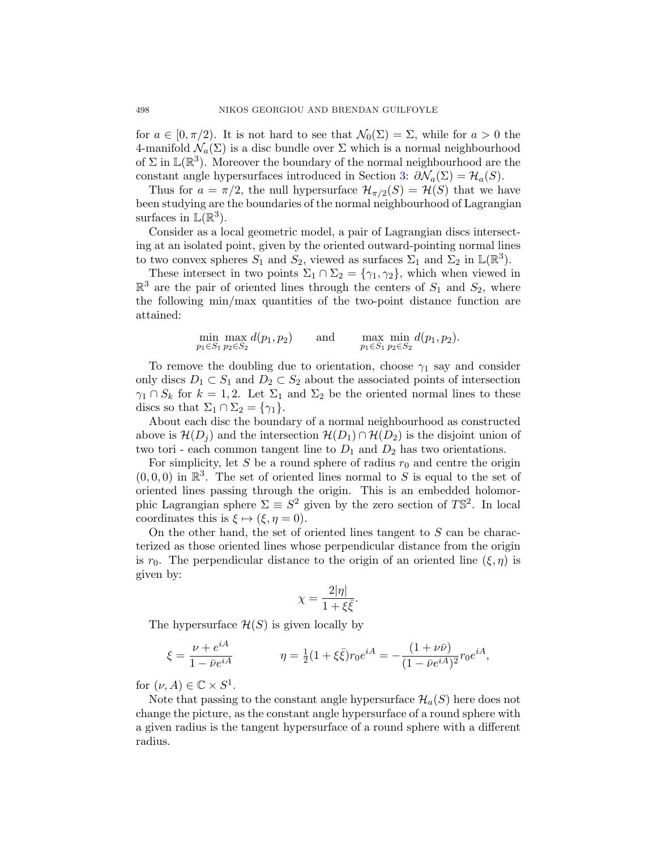for  $a \in [0, \pi/2)$ . It is not hard to see that  $\mathcal{N}_0(\Sigma) = \Sigma$ , while for  $a > 0$  the 4-manifold  $\mathcal{N}_a(\Sigma)$  is a disc bundle over  $\Sigma$  which is a normal neighbourhood of  $\Sigma$  in  $\mathbb{L}(\mathbb{R}^3)$ . Moreover the boundary of the normal neighbourhood are the constant angle hypersurfaces introduced in Section [3:](#page-7-0)  $\partial \mathcal{N}_a(\Sigma) = \mathcal{H}_a(S)$ .

Thus for  $a = \pi/2$ , the null hypersurface  $\mathcal{H}_{\pi/2}(S) = \mathcal{H}(S)$  that we have been studying are the boundaries of the normal neighbourhood of Lagrangian surfaces in  $\mathbb{L}(\mathbb{R}^3)$ .

Consider as a local geometric model, a pair of Lagrangian discs intersecting at an isolated point, given by the oriented outward-pointing normal lines to two convex spheres  $S_1$  and  $S_2$ , viewed as surfaces  $\Sigma_1$  and  $\Sigma_2$  in  $\mathbb{L}(\mathbb{R}^3)$ .

These intersect in two points  $\Sigma_1 \cap \Sigma_2 = {\gamma_1, \gamma_2}$ , which when viewed in  $\mathbb{R}^3$  are the pair of oriented lines through the centers of  $S_1$  and  $S_2$ , where the following min/max quantities of the two-point distance function are attained:

$$
\min_{p_1 \in S_1} \max_{p_2 \in S_2} d(p_1, p_2) \quad \text{and} \quad \max_{p_1 \in S_1} \min_{p_2 \in S_2} d(p_1, p_2).
$$

To remove the doubling due to orientation, choose  $\gamma_1$  say and consider only discs  $D_1 \subset S_1$  and  $D_2 \subset S_2$  about the associated points of intersection  $\gamma_1 \cap S_k$  for  $k = 1, 2$ . Let  $\Sigma_1$  and  $\Sigma_2$  be the oriented normal lines to these discs so that  $\Sigma_1 \cap \Sigma_2 = {\gamma_1}.$ 

About each disc the boundary of a normal neighbourhood as constructed above is  $\mathcal{H}(D_i)$  and the intersection  $\mathcal{H}(D_1) \cap \mathcal{H}(D_2)$  is the disjoint union of two tori - each common tangent line to  $D_1$  and  $D_2$  has two orientations.

For simplicity, let S be a round sphere of radius  $r_0$  and centre the origin  $(0, 0, 0)$  in  $\mathbb{R}^3$ . The set of oriented lines normal to S is equal to the set of oriented lines passing through the origin. This is an embedded holomorphic Lagrangian sphere  $\Sigma \equiv S^2$  given by the zero section of TS<sup>2</sup>. In local coordinates this is  $\xi \mapsto (\xi, \eta = 0)$ .

On the other hand, the set of oriented lines tangent to  $S$  can be characterized as those oriented lines whose perpendicular distance from the origin is  $r_0$ . The perpendicular distance to the origin of an oriented line  $(\xi, \eta)$  is given by:

$$
\chi = \frac{2|\eta|}{1 + \xi \bar{\xi}}.
$$

The hypersurface  $\mathcal{H}(S)$  is given locally by

$$
\xi = \frac{\nu + e^{iA}}{1 - \bar{\nu}e^{iA}} \qquad \eta = \frac{1}{2}(1 + \xi\bar{\xi})r_0e^{iA} = -\frac{(1 + \nu\bar{\nu})}{(1 - \bar{\nu}e^{iA})^2}r_0e^{iA},
$$

for  $(\nu, A) \in \mathbb{C} \times S^1$ .

Note that passing to the constant angle hypersurface  $\mathcal{H}_a(S)$  here does not change the picture, as the constant angle hypersurface of a round sphere with a given radius is the tangent hypersurface of a round sphere with a different radius.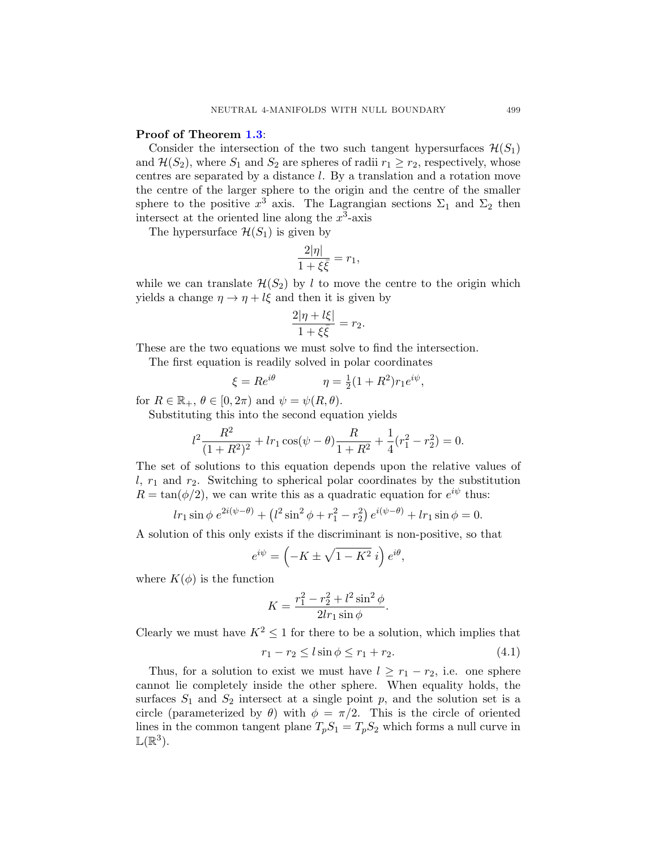#### Proof of Theorem [1.3](#page-3-0):

Consider the intersection of the two such tangent hypersurfaces  $\mathcal{H}(S_1)$ and  $\mathcal{H}(S_2)$ , where  $S_1$  and  $S_2$  are spheres of radii  $r_1 \geq r_2$ , respectively, whose centres are separated by a distance l. By a translation and a rotation move the centre of the larger sphere to the origin and the centre of the smaller sphere to the positive  $x^3$  axis. The Lagrangian sections  $\Sigma_1$  and  $\Sigma_2$  then intersect at the oriented line along the  $x^3$ -axis

The hypersurface  $\mathcal{H}(S_1)$  is given by

$$
\frac{2|\eta|}{1+\xi\bar{\xi}} = r_1,
$$

while we can translate  $\mathcal{H}(S_2)$  by l to move the centre to the origin which yields a change  $\eta \to \eta + l \xi$  and then it is given by

$$
\frac{2|\eta + l\xi|}{1 + \xi \bar{\xi}} = r_2.
$$

These are the two equations we must solve to find the intersection.

The first equation is readily solved in polar coordinates

$$
\xi = Re^{i\theta}
$$
  $\eta = \frac{1}{2}(1 + R^2)r_1e^{i\psi},$ 

for  $R \in \mathbb{R}_+$ ,  $\theta \in [0, 2\pi)$  and  $\psi = \psi(R, \theta)$ .

Substituting this into the second equation yields

$$
l^{2} \frac{R^{2}}{(1+R^{2})^{2}} + l r_{1} \cos(\psi - \theta) \frac{R}{1+R^{2}} + \frac{1}{4} (r_{1}^{2} - r_{2}^{2}) = 0.
$$

The set of solutions to this equation depends upon the relative values of  $l, r_1$  and  $r_2$ . Switching to spherical polar coordinates by the substitution  $R = \tan(\phi/2)$ , we can write this as a quadratic equation for  $e^{i\psi}$  thus:

$$
lr_1 \sin \phi e^{2i(\psi - \theta)} + (l^2 \sin^2 \phi + r_1^2 - r_2^2) e^{i(\psi - \theta)} + lr_1 \sin \phi = 0.
$$

A solution of this only exists if the discriminant is non-positive, so that

$$
e^{i\psi} = \left(-K \pm \sqrt{1 - K^2} i\right) e^{i\theta},
$$

where  $K(\phi)$  is the function

$$
K = \frac{r_1^2 - r_2^2 + l^2 \sin^2 \phi}{2l r_1 \sin \phi}.
$$

Clearly we must have  $K^2 \leq 1$  for there to be a solution, which implies that

$$
r_1 - r_2 \le l \sin \phi \le r_1 + r_2. \tag{4.1}
$$

Thus, for a solution to exist we must have  $l \geq r_1 - r_2$ , i.e. one sphere cannot lie completely inside the other sphere. When equality holds, the surfaces  $S_1$  and  $S_2$  intersect at a single point p, and the solution set is a circle (parameterized by  $\theta$ ) with  $\phi = \pi/2$ . This is the circle of oriented lines in the common tangent plane  $T_pS_1 = T_pS_2$  which forms a null curve in  $\mathbb{L}(\mathbb{R}^3)$ .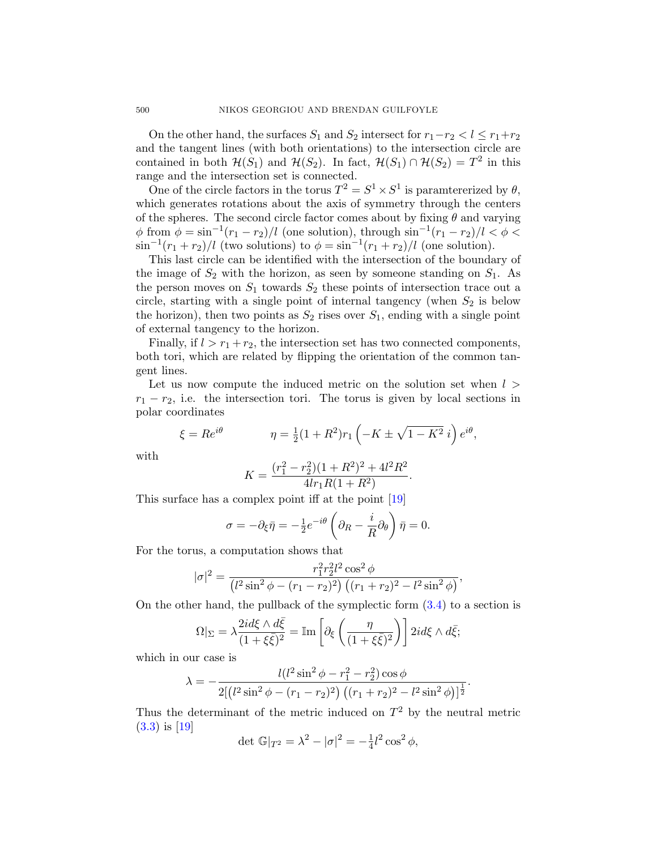On the other hand, the surfaces  $S_1$  and  $S_2$  intersect for  $r_1-r_2 < l \leq r_1+r_2$ and the tangent lines (with both orientations) to the intersection circle are contained in both  $\mathcal{H}(S_1)$  and  $\mathcal{H}(S_2)$ . In fact,  $\mathcal{H}(S_1) \cap \mathcal{H}(S_2) = T^2$  in this range and the intersection set is connected.

One of the circle factors in the torus  $T^2 = S^1 \times S^1$  is paramtererized by  $\theta$ , which generates rotations about the axis of symmetry through the centers of the spheres. The second circle factor comes about by fixing  $\theta$  and varying  $\phi$  from  $\phi = \sin^{-1}(r_1 - r_2)/l$  (one solution), through  $\sin^{-1}(r_1 - r_2)/l < \phi$  $\sin^{-1}(r_1+r_2)/l$  (two solutions) to  $\phi = \sin^{-1}(r_1+r_2)/l$  (one solution).

This last circle can be identified with the intersection of the boundary of the image of  $S_2$  with the horizon, as seen by someone standing on  $S_1$ . As the person moves on  $S_1$  towards  $S_2$  these points of intersection trace out a circle, starting with a single point of internal tangency (when  $S_2$  is below the horizon), then two points as  $S_2$  rises over  $S_1$ , ending with a single point of external tangency to the horizon.

Finally, if  $l > r_1 + r_2$ , the intersection set has two connected components, both tori, which are related by flipping the orientation of the common tangent lines.

Let us now compute the induced metric on the solution set when  $l >$  $r_1 - r_2$ , i.e. the intersection tori. The torus is given by local sections in polar coordinates

$$
\xi = Re^{i\theta} \qquad \eta = \frac{1}{2}(1+R^2)r_1\left(-K \pm \sqrt{1-K^2} i\right)e^{i\theta},
$$

with

$$
K = \frac{(r_1^2 - r_2^2)(1 + R^2)^2 + 4l^2R^2}{4lr_1R(1 + R^2)}.
$$

This surface has a complex point iff at the point [\[19\]](#page-28-0)

$$
\sigma = -\partial_{\xi}\bar{\eta} = -\frac{1}{2}e^{-i\theta}\left(\partial_{R} - \frac{i}{R}\partial_{\theta}\right)\bar{\eta} = 0.
$$

For the torus, a computation shows that

$$
|\sigma|^2 = \frac{r_1^2 r_2^2 l^2 \cos^2 \phi}{\left(l^2 \sin^2 \phi - (r_1 - r_2)^2\right) \left((r_1 + r_2)^2 - l^2 \sin^2 \phi\right)},
$$

On the other hand, the pullback of the symplectic form [\(3.4\)](#page-8-0) to a section is

$$
\Omega|_{\Sigma} = \lambda \frac{2id\xi \wedge d\bar{\xi}}{(1 + \xi \bar{\xi})^2} = \mathbb{I}\mathrm{m}\left[\partial_{\xi}\left(\frac{\eta}{(1 + \xi \bar{\xi})^2}\right)\right] 2id\xi \wedge d\bar{\xi};
$$

which in our case is

$$
\lambda = -\frac{l(l^2 \sin^2 \phi - r_1^2 - r_2^2) \cos \phi}{2[(l^2 \sin^2 \phi - (r_1 - r_2)^2) ((r_1 + r_2)^2 - l^2 \sin^2 \phi)]^{\frac{1}{2}}}.
$$

Thus the determinant of the metric induced on  $T^2$  by the neutral metric [\(3.3\)](#page-8-0) is [\[19\]](#page-28-0)

det 
$$
\mathbb{G}|_{T^2} = \lambda^2 - |\sigma|^2 = -\frac{1}{4}l^2 \cos^2 \phi
$$
,

<span id="page-23-0"></span>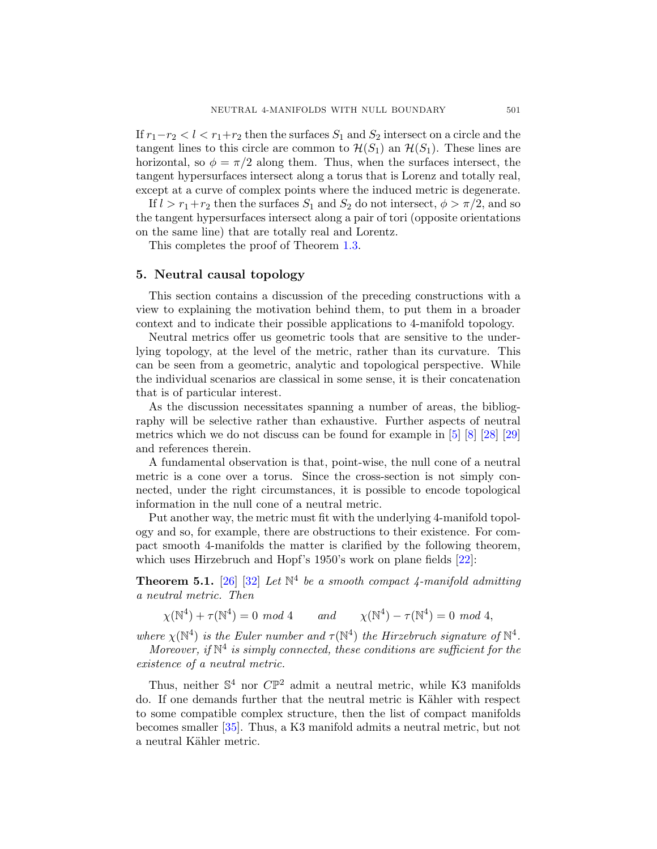<span id="page-24-0"></span>If  $r_1-r_2 < l < r_1+r_2$  then the surfaces  $S_1$  and  $S_2$  intersect on a circle and the tangent lines to this circle are common to  $\mathcal{H}(S_1)$  an  $\mathcal{H}(S_1)$ . These lines are horizontal, so  $\phi = \pi/2$  along them. Thus, when the surfaces intersect, the tangent hypersurfaces intersect along a torus that is Lorenz and totally real, except at a curve of complex points where the induced metric is degenerate.

If  $l > r_1+r_2$  then the surfaces  $S_1$  and  $S_2$  do not intersect,  $\phi > \pi/2$ , and so the tangent hypersurfaces intersect along a pair of tori (opposite orientations on the same line) that are totally real and Lorentz.

This completes the proof of Theorem [1.3.](#page-3-0)

## 5. Neutral causal topology

This section contains a discussion of the preceding constructions with a view to explaining the motivation behind them, to put them in a broader context and to indicate their possible applications to 4-manifold topology.

Neutral metrics offer us geometric tools that are sensitive to the underlying topology, at the level of the metric, rather than its curvature. This can be seen from a geometric, analytic and topological perspective. While the individual scenarios are classical in some sense, it is their concatenation that is of particular interest.

As the discussion necessitates spanning a number of areas, the bibliography will be selective rather than exhaustive. Further aspects of neutral metrics which we do not discuss can be found for example in [\[5\]](#page-28-0) [\[8\]](#page-28-0) [\[28\]](#page-29-0) [\[29\]](#page-29-0) and references therein.

A fundamental observation is that, point-wise, the null cone of a neutral metric is a cone over a torus. Since the cross-section is not simply connected, under the right circumstances, it is possible to encode topological information in the null cone of a neutral metric.

Put another way, the metric must fit with the underlying 4-manifold topology and so, for example, there are obstructions to their existence. For compact smooth 4-manifolds the matter is clarified by the following theorem, which uses Hirzebruch and Hopf's 1950's work on plane fields [\[22\]](#page-29-0):

**Theorem 5.1.** [\[26\]](#page-29-0) [\[32\]](#page-29-0) Let  $\mathbb{N}^4$  be a smooth compact 4-manifold admitting a neutral metric. Then

 $\chi(\mathbb{N}^4) + \tau(\mathbb{N}^4) = 0 \mod 4$  and  $\chi(\mathbb{N}^4) - \tau(\mathbb{N}^4) = 0 \mod 4$ ,

where  $\chi(\mathbb{N}^4)$  is the Euler number and  $\tau(\mathbb{N}^4)$  the Hirzebruch signature of  $\mathbb{N}^4$ .

Moreover, if  $\mathbb{N}^4$  is simply connected, these conditions are sufficient for the existence of a neutral metric.

Thus, neither  $\mathbb{S}^4$  nor  $\mathbb{CP}^2$  admit a neutral metric, while K3 manifolds do. If one demands further that the neutral metric is Kähler with respect to some compatible complex structure, then the list of compact manifolds becomes smaller [\[35\]](#page-29-0). Thus, a K3 manifold admits a neutral metric, but not a neutral Kähler metric.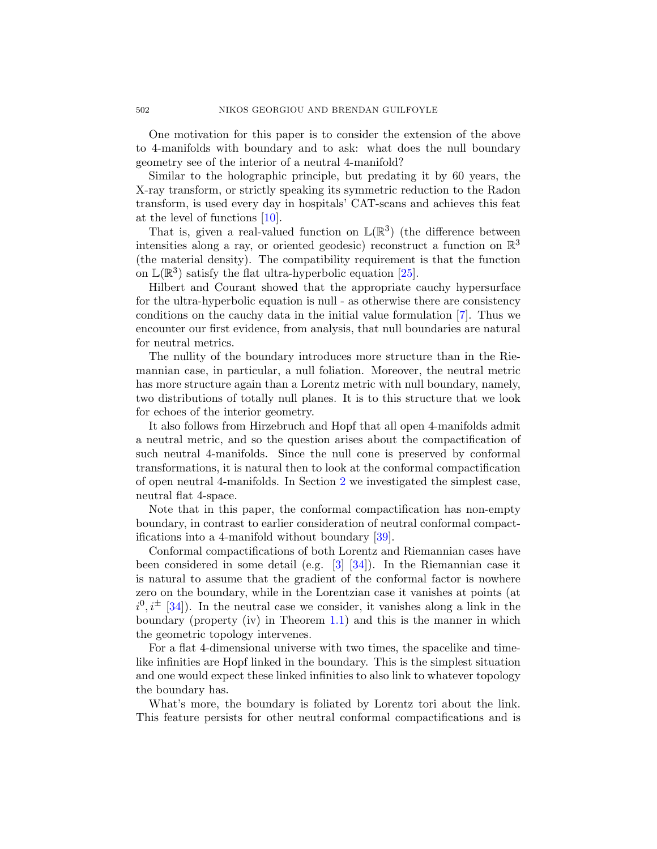One motivation for this paper is to consider the extension of the above to 4-manifolds with boundary and to ask: what does the null boundary geometry see of the interior of a neutral 4-manifold?

Similar to the holographic principle, but predating it by 60 years, the X-ray transform, or strictly speaking its symmetric reduction to the Radon transform, is used every day in hospitals' CAT-scans and achieves this feat at the level of functions [\[10\]](#page-28-0).

That is, given a real-valued function on  $\mathbb{L}(\mathbb{R}^3)$  (the difference between intensities along a ray, or oriented geodesic) reconstruct a function on  $\mathbb{R}^3$ (the material density). The compatibility requirement is that the function on  $\mathbb{L}(\mathbb{R}^3)$  satisfy the flat ultra-hyperbolic equation [\[25\]](#page-29-0).

Hilbert and Courant showed that the appropriate cauchy hypersurface for the ultra-hyperbolic equation is null - as otherwise there are consistency conditions on the cauchy data in the initial value formulation [\[7\]](#page-28-0). Thus we encounter our first evidence, from analysis, that null boundaries are natural for neutral metrics.

The nullity of the boundary introduces more structure than in the Riemannian case, in particular, a null foliation. Moreover, the neutral metric has more structure again than a Lorentz metric with null boundary, namely, two distributions of totally null planes. It is to this structure that we look for echoes of the interior geometry.

It also follows from Hirzebruch and Hopf that all open 4-manifolds admit a neutral metric, and so the question arises about the compactification of such neutral 4-manifolds. Since the null cone is preserved by conformal transformations, it is natural then to look at the conformal compactification of open neutral 4-manifolds. In Section [2](#page-3-0) we investigated the simplest case, neutral flat 4-space.

Note that in this paper, the conformal compactification has non-empty boundary, in contrast to earlier consideration of neutral conformal compactifications into a 4-manifold without boundary [\[39\]](#page-30-0).

Conformal compactifications of both Lorentz and Riemannian cases have been considered in some detail (e.g. [\[3\]](#page-27-0) [\[34\]](#page-29-0)). In the Riemannian case it is natural to assume that the gradient of the conformal factor is nowhere zero on the boundary, while in the Lorentzian case it vanishes at points (at  $i^0, i^{\pm}$  [\[34\]](#page-29-0)). In the neutral case we consider, it vanishes along a link in the boundary (property (iv) in Theorem  $1.1$ ) and this is the manner in which the geometric topology intervenes.

For a flat 4-dimensional universe with two times, the spacelike and timelike infinities are Hopf linked in the boundary. This is the simplest situation and one would expect these linked infinities to also link to whatever topology the boundary has.

What's more, the boundary is foliated by Lorentz tori about the link. This feature persists for other neutral conformal compactifications and is

<span id="page-25-0"></span>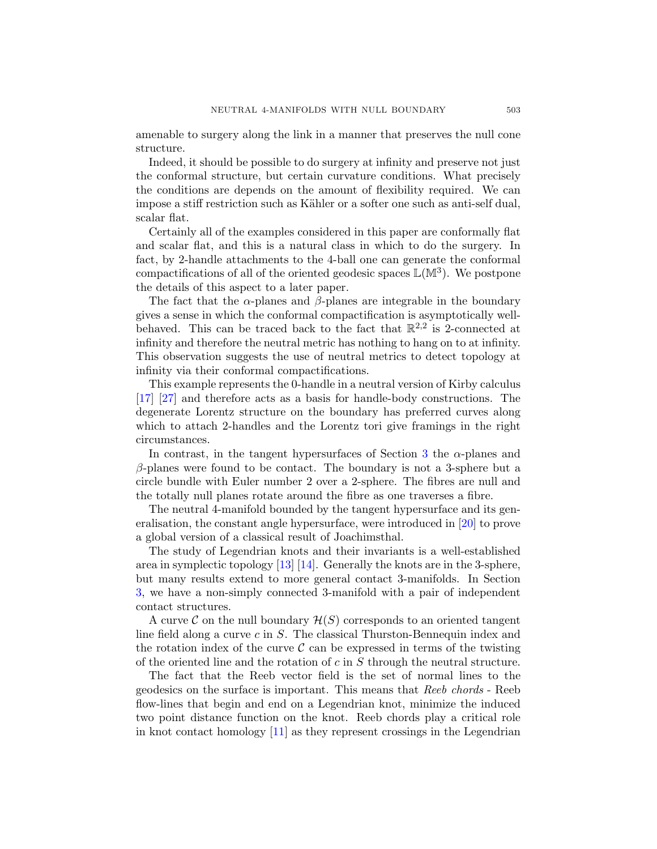<span id="page-26-0"></span>amenable to surgery along the link in a manner that preserves the null cone structure.

Indeed, it should be possible to do surgery at infinity and preserve not just the conformal structure, but certain curvature conditions. What precisely the conditions are depends on the amount of flexibility required. We can impose a stiff restriction such as Kähler or a softer one such as anti-self dual, scalar flat.

Certainly all of the examples considered in this paper are conformally flat and scalar flat, and this is a natural class in which to do the surgery. In fact, by 2-handle attachments to the 4-ball one can generate the conformal compactifications of all of the oriented geodesic spaces  $\mathbb{L}(\mathbb{M}^3)$ . We postpone the details of this aspect to a later paper.

The fact that the  $\alpha$ -planes and  $\beta$ -planes are integrable in the boundary gives a sense in which the conformal compactification is asymptotically wellbehaved. This can be traced back to the fact that  $\mathbb{R}^{2,2}$  is 2-connected at infinity and therefore the neutral metric has nothing to hang on to at infinity. This observation suggests the use of neutral metrics to detect topology at infinity via their conformal compactifications.

This example represents the 0-handle in a neutral version of Kirby calculus [\[17\]](#page-28-0) [\[27\]](#page-29-0) and therefore acts as a basis for handle-body constructions. The degenerate Lorentz structure on the boundary has preferred curves along which to attach 2-handles and the Lorentz tori give framings in the right circumstances.

In contrast, in the tangent hypersurfaces of Section [3](#page-7-0) the  $\alpha$ -planes and  $\beta$ -planes were found to be contact. The boundary is not a 3-sphere but a circle bundle with Euler number 2 over a 2-sphere. The fibres are null and the totally null planes rotate around the fibre as one traverses a fibre.

The neutral 4-manifold bounded by the tangent hypersurface and its generalisation, the constant angle hypersurface, were introduced in [\[20\]](#page-29-0) to prove a global version of a classical result of Joachimsthal.

The study of Legendrian knots and their invariants is a well-established area in symplectic topology [\[13\]](#page-28-0) [\[14\]](#page-28-0). Generally the knots are in the 3-sphere, but many results extend to more general contact 3-manifolds. In Section [3,](#page-7-0) we have a non-simply connected 3-manifold with a pair of independent contact structures.

A curve C on the null boundary  $\mathcal{H}(S)$  corresponds to an oriented tangent line field along a curve c in S. The classical Thurston-Bennequin index and the rotation index of the curve  $\mathcal C$  can be expressed in terms of the twisting of the oriented line and the rotation of  $c$  in  $S$  through the neutral structure.

The fact that the Reeb vector field is the set of normal lines to the geodesics on the surface is important. This means that Reeb chords - Reeb flow-lines that begin and end on a Legendrian knot, minimize the induced two point distance function on the knot. Reeb chords play a critical role in knot contact homology [\[11\]](#page-28-0) as they represent crossings in the Legendrian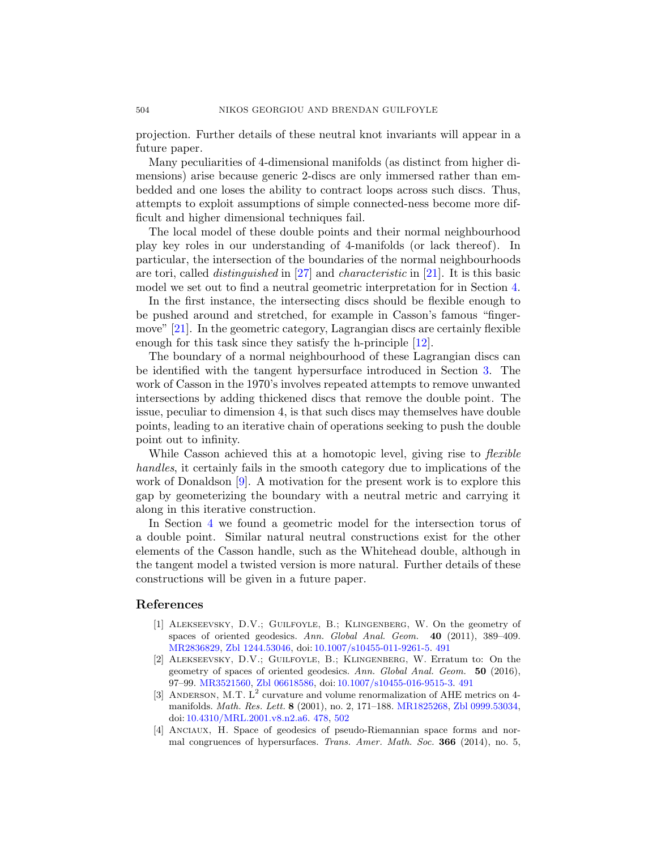projection. Further details of these neutral knot invariants will appear in a future paper.

Many peculiarities of 4-dimensional manifolds (as distinct from higher dimensions) arise because generic 2-discs are only immersed rather than embedded and one loses the ability to contract loops across such discs. Thus, attempts to exploit assumptions of simple connected-ness become more difficult and higher dimensional techniques fail.

The local model of these double points and their normal neighbourhood play key roles in our understanding of 4-manifolds (or lack thereof). In particular, the intersection of the boundaries of the normal neighbourhoods are tori, called distinguished in [\[27\]](#page-29-0) and characteristic in [\[21\]](#page-29-0). It is this basic model we set out to find a neutral geometric interpretation for in Section [4.](#page-20-0)

In the first instance, the intersecting discs should be flexible enough to be pushed around and stretched, for example in Casson's famous "fingermove" [\[21\]](#page-29-0). In the geometric category, Lagrangian discs are certainly flexible enough for this task since they satisfy the h-principle [\[12\]](#page-28-0).

The boundary of a normal neighbourhood of these Lagrangian discs can be identified with the tangent hypersurface introduced in Section [3.](#page-7-0) The work of Casson in the 1970's involves repeated attempts to remove unwanted intersections by adding thickened discs that remove the double point. The issue, peculiar to dimension 4, is that such discs may themselves have double points, leading to an iterative chain of operations seeking to push the double point out to infinity.

While Casson achieved this at a homotopic level, giving rise to *flexible* handles, it certainly fails in the smooth category due to implications of the work of Donaldson  $[9]$ . A motivation for the present work is to explore this gap by geometerizing the boundary with a neutral metric and carrying it along in this iterative construction.

In Section [4](#page-20-0) we found a geometric model for the intersection torus of a double point. Similar natural neutral constructions exist for the other elements of the Casson handle, such as the Whitehead double, although in the tangent model a twisted version is more natural. Further details of these constructions will be given in a future paper.

#### References

- [1] Alekseevsky, D.V.; Guilfoyle, B.; Klingenberg, W. On the geometry of spaces of oriented geodesics. Ann. Global Anal. Geom. 40 (2011), 389-409. [MR2836829,](http://www.ams.org/mathscinet-getitem?mr=2836829) [Zbl 1244.53046,](http://www.emis.de/cgi-bin/MATH-item?1244.53046) doi: [10.1007/s10455-011-9261-5.](http://dx.doi.org/10.1007/s10455-011-9261-5) [491](#page-14-0)
- [2] Alekseevsky, D.V.; Guilfoyle, B.; Klingenberg, W. Erratum to: On the geometry of spaces of oriented geodesics. Ann. Global Anal. Geom. 50 (2016), 97–99. [MR3521560,](http://www.ams.org/mathscinet-getitem?mr=3521560) [Zbl 06618586,](http://www.emis.de/cgi-bin/MATH-item?06618586) doi: [10.1007/s10455-016-9515-3.](http://dx.doi.org/10.1007/s10455-016-9515-3) [491](#page-14-0)
- [3] ANDERSON, M.T.  $L^2$  curvature and volume renormalization of AHE metrics on 4manifolds. Math. Res. Lett. 8 (2001), no. 2, 171–188. [MR1825268,](http://www.ams.org/mathscinet-getitem?mr=1825268) [Zbl 0999.53034,](http://www.emis.de/cgi-bin/MATH-item?0999.53034) doi: [10.4310/MRL.2001.v8.n2.a6.](http://dx.doi.org/10.4310/MRL.2001.v8.n2.a6) [478,](#page-1-0) [502](#page-25-0)
- [4] Anciaux, H. Space of geodesics of pseudo-Riemannian space forms and normal congruences of hypersurfaces. Trans. Amer. Math. Soc. 366 (2014), no. 5,

<span id="page-27-0"></span>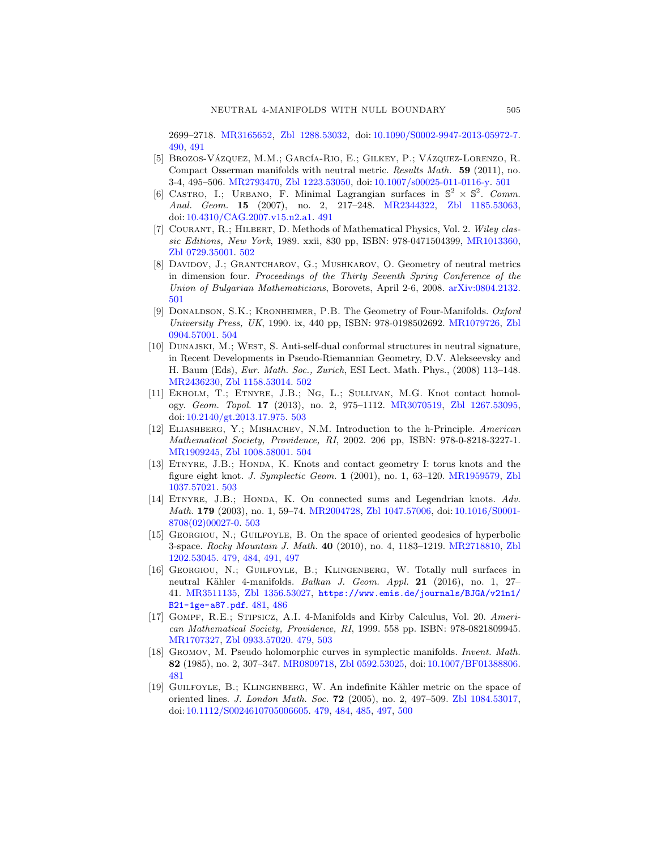<span id="page-28-0"></span>2699–2718. [MR3165652,](http://www.ams.org/mathscinet-getitem?mr=3165652) [Zbl 1288.53032,](http://www.emis.de/cgi-bin/MATH-item?1288.53032) doi: [10.1090/S0002-9947-2013-05972-7.](http://dx.doi.org/10.1090/S0002-9947-2013-05972-7) [490,](#page-13-0) [491](#page-14-0)

- [5] BROZOS-VÁZQUEZ, M.M.; GARCÍA-RIO, E.; GILKEY, P.; VÁZQUEZ-LORENZO, R. Compact Osserman manifolds with neutral metric. Results Math. 59 (2011), no. 3-4, 495–506. [MR2793470,](http://www.ams.org/mathscinet-getitem?mr=2793470) [Zbl 1223.53050,](http://www.emis.de/cgi-bin/MATH-item?1223.53050) doi: [10.1007/s00025-011-0116-y.](http://dx.doi.org/10.1007/s00025-011-0116-y) [501](#page-24-0)
- [6] CASTRO, I.; URBANO, F. Minimal Lagrangian surfaces in  $\mathbb{S}^2 \times \mathbb{S}^2$ . Comm. Anal. Geom. 15 (2007), no. 2, 217–248. [MR2344322,](http://www.ams.org/mathscinet-getitem?mr=2344322) [Zbl 1185.53063,](http://www.emis.de/cgi-bin/MATH-item?1185.53063) doi: [10.4310/CAG.2007.v15.n2.a1.](http://dx.doi.org/10.4310/CAG.2007.v15.n2.a1) [491](#page-14-0)
- [7] COURANT, R.; HILBERT, D. Methods of Mathematical Physics, Vol. 2. Wiley classic Editions, New York, 1989. xxii, 830 pp, ISBN: 978-0471504399, [MR1013360,](http://www.ams.org/mathscinet-getitem?mr=1013360) [Zbl 0729.35001.](http://www.emis.de/cgi-bin/MATH-item?0729.35001) [502](#page-25-0)
- [8] Davidov, J.; Grantcharov, G.; Mushkarov, O. Geometry of neutral metrics in dimension four. Proceedings of the Thirty Seventh Spring Conference of the Union of Bulgarian Mathematicians, Borovets, April 2-6, 2008. [arXiv:0804.2132.](http://arXiv.org/abs/0804.2132) [501](#page-24-0)
- [9] DONALDSON, S.K.; KRONHEIMER, P.B. The Geometry of Four-Manifolds. Oxford University Press, UK, 1990. ix, 440 pp, ISBN: 978-0198502692. [MR1079726,](http://www.ams.org/mathscinet-getitem?mr=1079726) [Zbl](http://www.emis.de/cgi-bin/MATH-item?0904.57001) [0904.57001.](http://www.emis.de/cgi-bin/MATH-item?0904.57001) [504](#page-27-0)
- [10] Dunajski, M.; West, S. Anti-self-dual conformal structures in neutral signature, in Recent Developments in Pseudo-Riemannian Geometry, D.V. Alekseevsky and H. Baum (Eds), Eur. Math. Soc., Zurich, ESI Lect. Math. Phys., (2008) 113–148. [MR2436230,](http://www.ams.org/mathscinet-getitem?mr=2436230) [Zbl 1158.53014.](http://www.emis.de/cgi-bin/MATH-item?1158.53014) [502](#page-25-0)
- [11] Ekholm, T.; Etnyre, J.B.; Ng, L.; Sullivan, M.G. Knot contact homology. Geom. Topol. 17 (2013), no. 2, 975–1112. [MR3070519,](http://www.ams.org/mathscinet-getitem?mr=3070519) [Zbl 1267.53095,](http://www.emis.de/cgi-bin/MATH-item?1267.53095) doi: [10.2140/gt.2013.17.975.](http://dx.doi.org/10.2140/gt.2013.17.975) [503](#page-26-0)
- [12] Eliashberg, Y.; Mishachev, N.M. Introduction to the h-Principle. American Mathematical Society, Providence, RI, 2002. 206 pp, ISBN: 978-0-8218-3227-1. [MR1909245,](http://www.ams.org/mathscinet-getitem?mr=1909245) [Zbl 1008.58001.](http://www.emis.de/cgi-bin/MATH-item?1008.58001) [504](#page-27-0)
- [13] Etnyre, J.B.; Honda, K. Knots and contact geometry I: torus knots and the figure eight knot. J. Symplectic Geom. 1 (2001), no. 1, 63–120. [MR1959579,](http://www.ams.org/mathscinet-getitem?mr=1959579) [Zbl](http://www.emis.de/cgi-bin/MATH-item?1037.57021) [1037.57021.](http://www.emis.de/cgi-bin/MATH-item?1037.57021) [503](#page-26-0)
- [14] ETNYRE, J.B.; HONDA, K. On connected sums and Legendrian knots. Adv. Math. 179 (2003), no. 1, 59–74. [MR2004728,](http://www.ams.org/mathscinet-getitem?mr=2004728) [Zbl 1047.57006,](http://www.emis.de/cgi-bin/MATH-item?1047.57006) doi: [10.1016/S0001-](http://dx.doi.org/10.1016/S0001-8708(02)00027-0) [8708\(02\)00027-0.](http://dx.doi.org/10.1016/S0001-8708(02)00027-0) [503](#page-26-0)
- [15] Georgiou, N.; Guilfoyle, B. On the space of oriented geodesics of hyperbolic 3-space. Rocky Mountain J. Math. 40 (2010), no. 4, 1183–1219. [MR2718810,](http://www.ams.org/mathscinet-getitem?mr=2718810) [Zbl](http://www.emis.de/cgi-bin/MATH-item?1202.53045) [1202.53045.](http://www.emis.de/cgi-bin/MATH-item?1202.53045) [479,](#page-2-0) [484,](#page-7-0) [491,](#page-14-0) [497](#page-20-0)
- [16] Georgiou, N.; Guilfoyle, B.; Klingenberg, W. Totally null surfaces in neutral Kähler 4-manifolds. Balkan J. Geom. Appl. 21 (2016), no. 1, 27-41. [MR3511135,](http://www.ams.org/mathscinet-getitem?mr=3511135) [Zbl 1356.53027,](http://www.emis.de/cgi-bin/MATH-item?1356.53027) [https://www.emis.de/journals/BJGA/v21n1/](https://www.emis.de/journals/BJGA/v21n1/B21-1ge-a87.pdf) [B21-1ge-a87.pdf](https://www.emis.de/journals/BJGA/v21n1/B21-1ge-a87.pdf). [481,](#page-4-0) [486](#page-9-0)
- [17] Gompf, R.E.; Stipsicz, A.I. 4-Manifolds and Kirby Calculus, Vol. 20. American Mathematical Society, Providence, RI, 1999. 558 pp. ISBN: 978-0821809945. [MR1707327,](http://www.ams.org/mathscinet-getitem?mr=1707327) [Zbl 0933.57020.](http://www.emis.de/cgi-bin/MATH-item?0933.57020) [479,](#page-2-0) [503](#page-26-0)
- [18] GROMOV, M. Pseudo holomorphic curves in symplectic manifolds. Invent. Math. 82 (1985), no. 2, 307–347. [MR0809718,](http://www.ams.org/mathscinet-getitem?mr=0809718) [Zbl 0592.53025,](http://www.emis.de/cgi-bin/MATH-item?0592.53025) doi: [10.1007/BF01388806.](http://dx.doi.org/10.1007/BF01388806) [481](#page-4-0)
- [19] GUILFOYLE, B.; KLINGENBERG, W. An indefinite Kähler metric on the space of oriented lines. J. London Math. Soc. 72 (2005), no. 2, 497–509. [Zbl 1084.53017,](http://www.emis.de/cgi-bin/MATH-item?1084.53017) doi: [10.1112/S0024610705006605.](http://dx.doi.org/10.1112/S0024610705006605) [479,](#page-2-0) [484,](#page-7-0) [485,](#page-8-0) [497,](#page-20-0) [500](#page-23-0)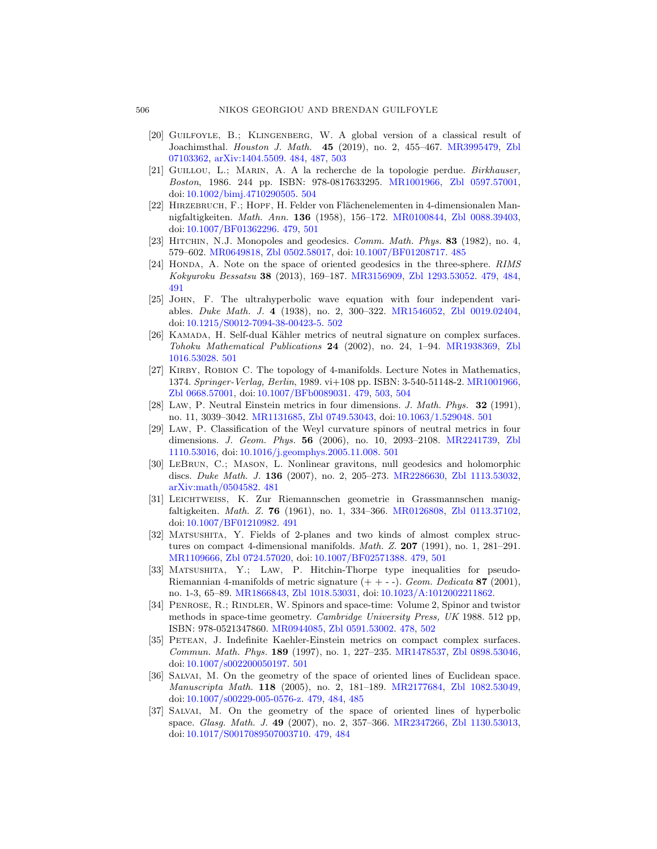- [20] Guilfoyle, B.; Klingenberg, W. A global version of a classical result of Joachimsthal. Houston J. Math. 45 (2019), no. 2, 455–467. [MR3995479,](http://www.ams.org/mathscinet-getitem?mr=3995479) [Zbl](http://www.emis.de/cgi-bin/MATH-item?07103362) [07103362,](http://www.emis.de/cgi-bin/MATH-item?07103362) [arXiv:1404.5509.](http://arXiv.org/abs/1404.5509) [484,](#page-7-0) [487,](#page-10-0) [503](#page-26-0)
- [21] Guillou, L.; Marin, A. A la recherche de la topologie perdue. Birkhauser, Boston, 1986. 244 pp. ISBN: 978-0817633295. [MR1001966,](http://www.ams.org/mathscinet-getitem?mr=1001966) [Zbl 0597.57001,](http://www.emis.de/cgi-bin/MATH-item?0597.57001) doi: [10.1002/bimj.4710290505.](http://dx.doi.org/10.1002/bimj.4710290505) [504](#page-27-0)
- [22] HIRZEBRUCH, F.; HOPF, H. Felder von Flächenelementen in 4-dimensionalen Mannigfaltigkeiten. Math. Ann. 136 (1958), 156–172. [MR0100844,](http://www.ams.org/mathscinet-getitem?mr=0100844) [Zbl 0088.39403,](http://www.emis.de/cgi-bin/MATH-item?0088.39403) doi: [10.1007/BF01362296.](http://dx.doi.org/10.1007/BF01362296) [479,](#page-2-0) [501](#page-24-0)
- [23] HITCHIN, N.J. Monopoles and geodesics. Comm. Math. Phys. 83 (1982), no. 4, 579–602. [MR0649818,](http://www.ams.org/mathscinet-getitem?mr=0649818) [Zbl 0502.58017,](http://www.emis.de/cgi-bin/MATH-item?0502.58017) doi: [10.1007/BF01208717.](http://dx.doi.org/10.1007/BF01208717) [485](#page-8-0)
- [24] HONDA, A. Note on the space of oriented geodesics in the three-sphere. RIMS Kokyuroku Bessatsu 38 (2013), 169–187. [MR3156909,](http://www.ams.org/mathscinet-getitem?mr=3156909) [Zbl 1293.53052.](http://www.emis.de/cgi-bin/MATH-item?1293.53052) [479,](#page-2-0) [484,](#page-7-0) [491](#page-14-0)
- [25] John, F. The ultrahyperbolic wave equation with four independent variables. Duke Math. J. 4 (1938), no. 2, 300–322. [MR1546052,](http://www.ams.org/mathscinet-getitem?mr=1546052) [Zbl 0019.02404,](http://www.emis.de/cgi-bin/MATH-item?0019.02404) doi: [10.1215/S0012-7094-38-00423-5.](http://dx.doi.org/10.1215/S0012-7094-38-00423-5) [502](#page-25-0)
- [26] KAMADA, H. Self-dual Kähler metrics of neutral signature on complex surfaces. Tohoku Mathematical Publications 24 (2002), no. 24, 1–94. [MR1938369,](http://www.ams.org/mathscinet-getitem?mr=1938369) [Zbl](http://www.emis.de/cgi-bin/MATH-item?1016.53028) [1016.53028.](http://www.emis.de/cgi-bin/MATH-item?1016.53028) [501](#page-24-0)
- [27] KIRBY, ROBION C. The topology of 4-manifolds. Lecture Notes in Mathematics, 1374. Springer-Verlag, Berlin, 1989. vi+108 pp. ISBN: 3-540-51148-2. [MR1001966,](http://www.ams.org/mathscinet-getitem?mr=1001966) [Zbl 0668.57001,](http://www.emis.de/cgi-bin/MATH-item?0668.57001) doi: [10.1007/BFb0089031.](http://dx.doi.org/10.1007/BFb0089031) [479,](#page-2-0) [503,](#page-26-0) [504](#page-27-0)
- [28] Law, P. Neutral Einstein metrics in four dimensions. J. Math. Phys. 32 (1991), no. 11, 3039–3042. [MR1131685,](http://www.ams.org/mathscinet-getitem?mr=1131685) [Zbl 0749.53043,](http://www.emis.de/cgi-bin/MATH-item?0749.53043) doi: [10.1063/1.529048.](http://dx.doi.org/10.1063/1.529048) [501](#page-24-0)
- [29] Law, P. Classification of the Weyl curvature spinors of neutral metrics in four dimensions. J. Geom. Phys. 56 (2006), no. 10, 2093–2108. [MR2241739,](http://www.ams.org/mathscinet-getitem?mr=2241739) [Zbl](http://www.emis.de/cgi-bin/MATH-item?1110.53016) [1110.53016,](http://www.emis.de/cgi-bin/MATH-item?1110.53016) doi: [10.1016/j.geomphys.2005.11.008.](http://dx.doi.org/10.1016/j.geomphys.2005.11.008) [501](#page-24-0)
- [30] LeBrun, C.; Mason, L. Nonlinear gravitons, null geodesics and holomorphic discs. Duke Math. J. 136 (2007), no. 2, 205–273. [MR2286630,](http://www.ams.org/mathscinet-getitem?mr=2286630) [Zbl 1113.53032,](http://www.emis.de/cgi-bin/MATH-item?1113.53032) [arXiv:math/0504582.](http://arXiv.org/abs/math/0504582) [481](#page-4-0)
- [31] Leichtweiss, K. Zur Riemannschen geometrie in Grassmannschen manigfaltigkeiten. Math. Z. 76 (1961), no. 1, 334–366. [MR0126808,](http://www.ams.org/mathscinet-getitem?mr=0126808) [Zbl 0113.37102,](http://www.emis.de/cgi-bin/MATH-item?0113.37102) doi: [10.1007/BF01210982.](http://dx.doi.org/10.1007/BF01210982) [491](#page-14-0)
- [32] Matsushita, Y. Fields of 2-planes and two kinds of almost complex structures on compact 4-dimensional manifolds. *Math. Z.* 207 (1991), no. 1,  $281-291$ . [MR1109666,](http://www.ams.org/mathscinet-getitem?mr=1109666) [Zbl 0724.57020,](http://www.emis.de/cgi-bin/MATH-item?0724.57020) doi: [10.1007/BF02571388.](http://dx.doi.org/10.1007/BF02571388) [479,](#page-2-0) [501](#page-24-0)
- [33] MATSUSHITA, Y.; LAW, P. Hitchin-Thorpe type inequalities for pseudo-Riemannian 4-manifolds of metric signature  $(++ -)$ . Geom. Dedicata 87 (2001), no. 1-3, 65–89. [MR1866843,](http://www.ams.org/mathscinet-getitem?mr=1866843) [Zbl 1018.53031,](http://www.emis.de/cgi-bin/MATH-item?1018.53031) doi: [10.1023/A:1012002211862.](http://dx.doi.org/10.1023/A:1012002211862)
- [34] PENROSE, R.; RINDLER, W. Spinors and space-time: Volume 2, Spinor and twistor methods in space-time geometry. Cambridge University Press, UK 1988. 512 pp, ISBN: 978-0521347860. [MR0944085,](http://www.ams.org/mathscinet-getitem?mr=0944085) [Zbl 0591.53002.](http://www.emis.de/cgi-bin/MATH-item?0591.53002) [478,](#page-1-0) [502](#page-25-0)
- [35] PETEAN, J. Indefinite Kaehler-Einstein metrics on compact complex surfaces. Commun. Math. Phys. 189 (1997), no. 1, 227–235. [MR1478537,](http://www.ams.org/mathscinet-getitem?mr=1478537) [Zbl 0898.53046,](http://www.emis.de/cgi-bin/MATH-item?0898.53046) doi: [10.1007/s002200050197.](http://dx.doi.org/10.1007/s002200050197) [501](#page-24-0)
- [36] Salvai, M. On the geometry of the space of oriented lines of Euclidean space. Manuscripta Math. 118 (2005), no. 2, 181–189. [MR2177684,](http://www.ams.org/mathscinet-getitem?mr=2177684) [Zbl 1082.53049,](http://www.emis.de/cgi-bin/MATH-item?1082.53049) doi: [10.1007/s00229-005-0576-z.](http://dx.doi.org/10.1007/s00229-005-0576-z) [479,](#page-2-0) [484,](#page-7-0) [485](#page-8-0)
- [37] Salvai, M. On the geometry of the space of oriented lines of hyperbolic space. Glasg. Math. J. 49 (2007), no. 2, 357–366. [MR2347266,](http://www.ams.org/mathscinet-getitem?mr=2347266) [Zbl 1130.53013,](http://www.emis.de/cgi-bin/MATH-item?1130.53013) doi: [10.1017/S0017089507003710.](http://dx.doi.org/10.1017/S0017089507003710) [479,](#page-2-0) [484](#page-7-0)

<span id="page-29-0"></span>